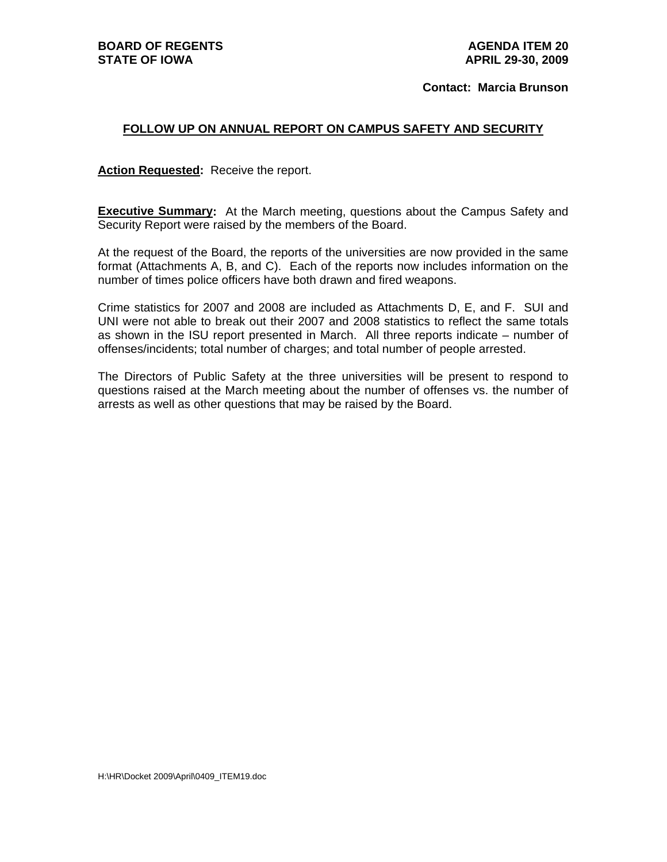**Contact: Marcia Brunson** 

#### **FOLLOW UP ON ANNUAL REPORT ON CAMPUS SAFETY AND SECURITY**

**Action Requested:** Receive the report.

**Executive Summary:** At the March meeting, questions about the Campus Safety and Security Report were raised by the members of the Board.

At the request of the Board, the reports of the universities are now provided in the same format (Attachments A, B, and C). Each of the reports now includes information on the number of times police officers have both drawn and fired weapons.

Crime statistics for 2007 and 2008 are included as Attachments D, E, and F. SUI and UNI were not able to break out their 2007 and 2008 statistics to reflect the same totals as shown in the ISU report presented in March. All three reports indicate – number of offenses/incidents; total number of charges; and total number of people arrested.

The Directors of Public Safety at the three universities will be present to respond to questions raised at the March meeting about the number of offenses vs. the number of arrests as well as other questions that may be raised by the Board.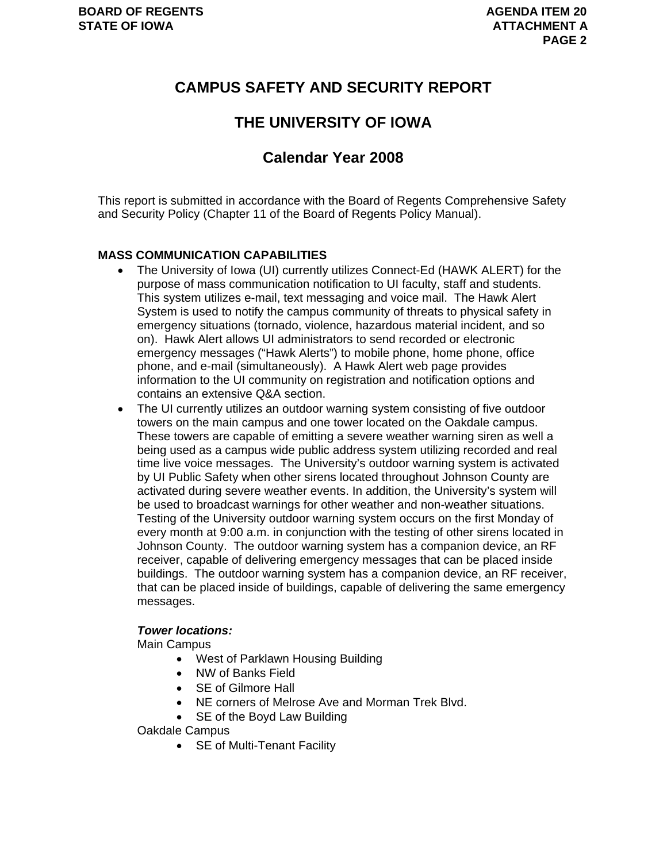## **CAMPUS SAFETY AND SECURITY REPORT**

### **THE UNIVERSITY OF IOWA**

## **Calendar Year 2008**

This report is submitted in accordance with the Board of Regents Comprehensive Safety and Security Policy (Chapter 11 of the Board of Regents Policy Manual).

#### **MASS COMMUNICATION CAPABILITIES**

- The University of Iowa (UI) currently utilizes Connect-Ed (HAWK ALERT) for the purpose of mass communication notification to UI faculty, staff and students. This system utilizes e-mail, text messaging and voice mail. The Hawk Alert System is used to notify the campus community of threats to physical safety in emergency situations (tornado, violence, hazardous material incident, and so on). Hawk Alert allows UI administrators to send recorded or electronic emergency messages ("Hawk Alerts") to mobile phone, home phone, office phone, and e-mail (simultaneously). A Hawk Alert web page provides information to the UI community on registration and notification options and contains an extensive Q&A section.
- The UI currently utilizes an outdoor warning system consisting of five outdoor towers on the main campus and one tower located on the Oakdale campus. These towers are capable of emitting a severe weather warning siren as well a being used as a campus wide public address system utilizing recorded and real time live voice messages. The University's outdoor warning system is activated by UI Public Safety when other sirens located throughout Johnson County are activated during severe weather events. In addition, the University's system will be used to broadcast warnings for other weather and non-weather situations. Testing of the University outdoor warning system occurs on the first Monday of every month at 9:00 a.m. in conjunction with the testing of other sirens located in Johnson County. The outdoor warning system has a companion device, an RF receiver, capable of delivering emergency messages that can be placed inside buildings. The outdoor warning system has a companion device, an RF receiver, that can be placed inside of buildings, capable of delivering the same emergency messages.

#### *Tower locations:*

Main Campus

- West of Parklawn Housing Building
- NW of Banks Field
- SE of Gilmore Hall
- NE corners of Melrose Ave and Morman Trek Blvd.
- SE of the Boyd Law Building

Oakdale Campus

• SE of Multi-Tenant Facility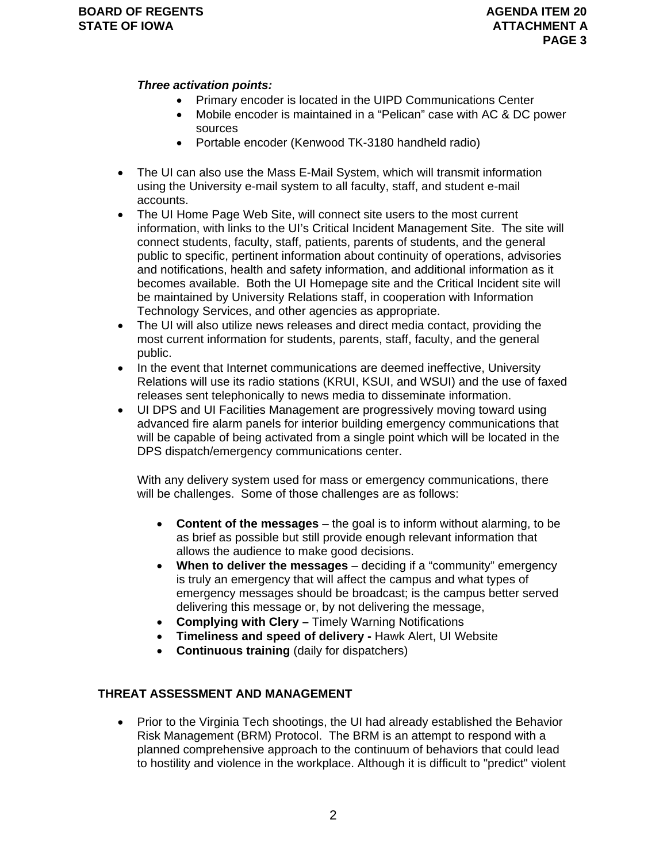#### *Three activation points:*

- Primary encoder is located in the UIPD Communications Center
- Mobile encoder is maintained in a "Pelican" case with AC & DC power sources
- Portable encoder (Kenwood TK-3180 handheld radio)
- The UI can also use the Mass E-Mail System, which will transmit information using the University e-mail system to all faculty, staff, and student e-mail accounts.
- The UI Home Page Web Site, will connect site users to the most current information, with links to the UI's Critical Incident Management Site. The site will connect students, faculty, staff, patients, parents of students, and the general public to specific, pertinent information about continuity of operations, advisories and notifications, health and safety information, and additional information as it becomes available. Both the UI Homepage site and the Critical Incident site will be maintained by University Relations staff, in cooperation with Information Technology Services, and other agencies as appropriate.
- The UI will also utilize news releases and direct media contact, providing the most current information for students, parents, staff, faculty, and the general public.
- In the event that Internet communications are deemed ineffective, University Relations will use its radio stations (KRUI, KSUI, and WSUI) and the use of faxed releases sent telephonically to news media to disseminate information.
- UI DPS and UI Facilities Management are progressively moving toward using advanced fire alarm panels for interior building emergency communications that will be capable of being activated from a single point which will be located in the DPS dispatch/emergency communications center.

With any delivery system used for mass or emergency communications, there will be challenges. Some of those challenges are as follows:

- **Content of the messages** the goal is to inform without alarming, to be as brief as possible but still provide enough relevant information that allows the audience to make good decisions.
- **When to deliver the messages** deciding if a "community" emergency is truly an emergency that will affect the campus and what types of emergency messages should be broadcast; is the campus better served delivering this message or, by not delivering the message,
- **Complying with Clery** Timely Warning Notifications
- **Timeliness and speed of delivery** Hawk Alert, UI Website
- **Continuous training** (daily for dispatchers)

### **THREAT ASSESSMENT AND MANAGEMENT**

• Prior to the Virginia Tech shootings, the UI had already established the Behavior Risk Management (BRM) Protocol. The BRM is an attempt to respond with a planned comprehensive approach to the continuum of behaviors that could lead to hostility and violence in the workplace. Although it is difficult to "predict" violent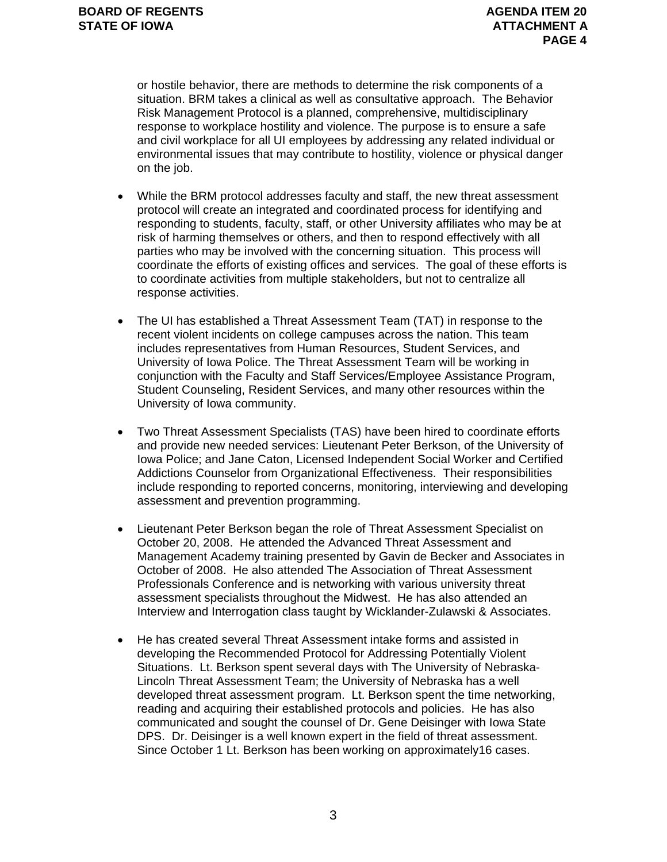or hostile behavior, there are methods to determine the risk components of a situation. BRM takes a clinical as well as consultative approach. The Behavior Risk Management Protocol is a planned, comprehensive, multidisciplinary response to workplace hostility and violence. The purpose is to ensure a safe and civil workplace for all UI employees by addressing any related individual or environmental issues that may contribute to hostility, violence or physical danger on the job.

- While the BRM protocol addresses faculty and staff, the new threat assessment protocol will create an integrated and coordinated process for identifying and responding to students, faculty, staff, or other University affiliates who may be at risk of harming themselves or others, and then to respond effectively with all parties who may be involved with the concerning situation. This process will coordinate the efforts of existing offices and services. The goal of these efforts is to coordinate activities from multiple stakeholders, but not to centralize all response activities.
- The UI has established a Threat Assessment Team (TAT) in response to the recent violent incidents on college campuses across the nation. This team includes representatives from Human Resources, Student Services, and University of Iowa Police. The Threat Assessment Team will be working in conjunction with the Faculty and Staff Services/Employee Assistance Program, Student Counseling, Resident Services, and many other resources within the University of Iowa community.
- Two Threat Assessment Specialists (TAS) have been hired to coordinate efforts and provide new needed services: Lieutenant Peter Berkson, of the University of Iowa Police; and Jane Caton, Licensed Independent Social Worker and Certified Addictions Counselor from Organizational Effectiveness. Their responsibilities include responding to reported concerns, monitoring, interviewing and developing assessment and prevention programming.
- Lieutenant Peter Berkson began the role of Threat Assessment Specialist on October 20, 2008. He attended the Advanced Threat Assessment and Management Academy training presented by Gavin de Becker and Associates in October of 2008. He also attended The Association of Threat Assessment Professionals Conference and is networking with various university threat assessment specialists throughout the Midwest. He has also attended an Interview and Interrogation class taught by Wicklander-Zulawski & Associates.
- He has created several Threat Assessment intake forms and assisted in developing the Recommended Protocol for Addressing Potentially Violent Situations. Lt. Berkson spent several days with The University of Nebraska-Lincoln Threat Assessment Team; the University of Nebraska has a well developed threat assessment program. Lt. Berkson spent the time networking, reading and acquiring their established protocols and policies. He has also communicated and sought the counsel of Dr. Gene Deisinger with Iowa State DPS. Dr. Deisinger is a well known expert in the field of threat assessment. Since October 1 Lt. Berkson has been working on approximately16 cases.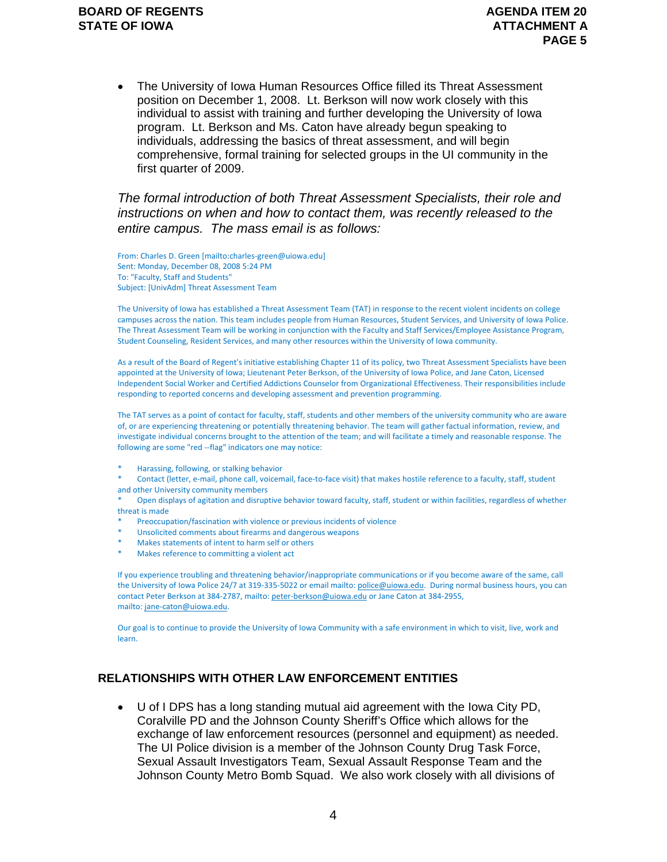• The University of Iowa Human Resources Office filled its Threat Assessment position on December 1, 2008. Lt. Berkson will now work closely with this individual to assist with training and further developing the University of Iowa program. Lt. Berkson and Ms. Caton have already begun speaking to individuals, addressing the basics of threat assessment, and will begin comprehensive, formal training for selected groups in the UI community in the first quarter of 2009.

### *The formal introduction of both Threat Assessment Specialists, their role and instructions on when and how to contact them, was recently released to the entire campus. The mass email is as follows:*

From: Charles D. Green [mailto:charles‐green@uiowa.edu] Sent: Monday, December 08, 2008 5:24 PM To: "Faculty, Staff and Students" Subject: [UnivAdm] Threat Assessment Team

The University of Iowa has established a Threat Assessment Team (TAT) in response to the recent violent incidents on college campuses across the nation. This team includes people from Human Resources, Student Services, and University of Iowa Police. The Threat Assessment Team will be working in conjunction with the Faculty and Staff Services/Employee Assistance Program, Student Counseling, Resident Services, and many other resources within the University of Iowa community.

As a result of the Board of Regent's initiative establishing Chapter 11 of its policy, two Threat Assessment Specialists have been appointed at the University of Iowa; Lieutenant Peter Berkson, of the University of Iowa Police, and Jane Caton, Licensed Independent Social Worker and Certified Addictions Counselor from Organizational Effectiveness. Their responsibilities include responding to reported concerns and developing assessment and prevention programming.

The TAT serves as a point of contact for faculty, staff, students and other members of the university community who are aware of, or are experiencing threatening or potentially threatening behavior. The team will gather factual information, review, and investigate individual concerns brought to the attention of the team; and will facilitate a timely and reasonable response. The following are some "red ‐‐flag" indicators one may notice:

\* Harassing, following, or stalking behavior

Contact (letter, e-mail, phone call, voicemail, face-to-face visit) that makes hostile reference to a faculty, staff, student and other University community members

Open displays of agitation and disruptive behavior toward faculty, staff, student or within facilities, regardless of whether threat is made

- Preoccupation/fascination with violence or previous incidents of violence
- Unsolicited comments about firearms and dangerous weapons
- Makes statements of intent to harm self or others
- Makes reference to committing a violent act

If you experience troubling and threatening behavior/inappropriate communications or if you become aware of the same, call the University of Iowa Police 24/7 at 319-335-5022 or email mailto: police@uiowa.edu. During normal business hours, you can contact Peter Berkson at 384‐2787, mailto: peter‐berkson@uiowa.edu or Jane Caton at 384‐2955, mailto: jane‐caton@uiowa.edu.

Our goal is to continue to provide the University of Iowa Community with a safe environment in which to visit, live, work and learn.

#### **RELATIONSHIPS WITH OTHER LAW ENFORCEMENT ENTITIES**

• U of I DPS has a long standing mutual aid agreement with the Iowa City PD, Coralville PD and the Johnson County Sheriff's Office which allows for the exchange of law enforcement resources (personnel and equipment) as needed. The UI Police division is a member of the Johnson County Drug Task Force, Sexual Assault Investigators Team, Sexual Assault Response Team and the Johnson County Metro Bomb Squad. We also work closely with all divisions of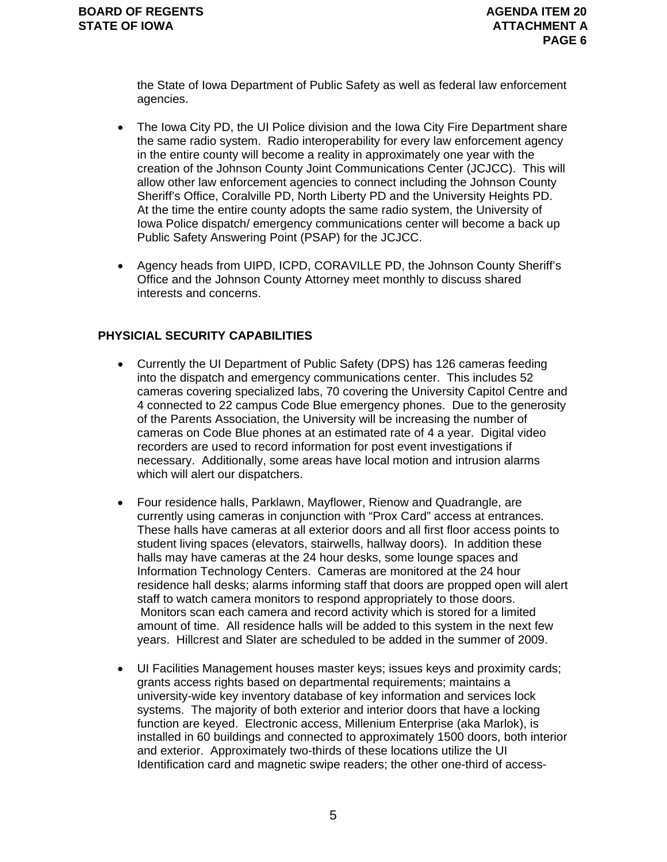the State of Iowa Department of Public Safety as well as federal law enforcement agencies.

- The Iowa City PD, the UI Police division and the Iowa City Fire Department share the same radio system. Radio interoperability for every law enforcement agency in the entire county will become a reality in approximately one year with the creation of the Johnson County Joint Communications Center (JCJCC). This will allow other law enforcement agencies to connect including the Johnson County Sheriff's Office, Coralville PD, North Liberty PD and the University Heights PD. At the time the entire county adopts the same radio system, the University of Iowa Police dispatch/ emergency communications center will become a back up Public Safety Answering Point (PSAP) for the JCJCC.
- Agency heads from UIPD, ICPD, CORAVILLE PD, the Johnson County Sheriff's Office and the Johnson County Attorney meet monthly to discuss shared interests and concerns.

### **PHYSICIAL SECURITY CAPABILITIES**

- Currently the UI Department of Public Safety (DPS) has 126 cameras feeding into the dispatch and emergency communications center. This includes 52 cameras covering specialized labs, 70 covering the University Capitol Centre and 4 connected to 22 campus Code Blue emergency phones. Due to the generosity of the Parents Association, the University will be increasing the number of cameras on Code Blue phones at an estimated rate of 4 a year. Digital video recorders are used to record information for post event investigations if necessary. Additionally, some areas have local motion and intrusion alarms which will alert our dispatchers.
- Four residence halls, Parklawn, Mayflower, Rienow and Quadrangle, are currently using cameras in conjunction with "Prox Card" access at entrances. These halls have cameras at all exterior doors and all first floor access points to student living spaces (elevators, stairwells, hallway doors). In addition these halls may have cameras at the 24 hour desks, some lounge spaces and Information Technology Centers. Cameras are monitored at the 24 hour residence hall desks; alarms informing staff that doors are propped open will alert staff to watch camera monitors to respond appropriately to those doors. Monitors scan each camera and record activity which is stored for a limited amount of time. All residence halls will be added to this system in the next few years. Hillcrest and Slater are scheduled to be added in the summer of 2009.
- UI Facilities Management houses master keys; issues keys and proximity cards; grants access rights based on departmental requirements; maintains a university-wide key inventory database of key information and services lock systems. The majority of both exterior and interior doors that have a locking function are keyed. Electronic access, Millenium Enterprise (aka Marlok), is installed in 60 buildings and connected to approximately 1500 doors, both interior and exterior. Approximately two-thirds of these locations utilize the UI Identification card and magnetic swipe readers; the other one-third of access-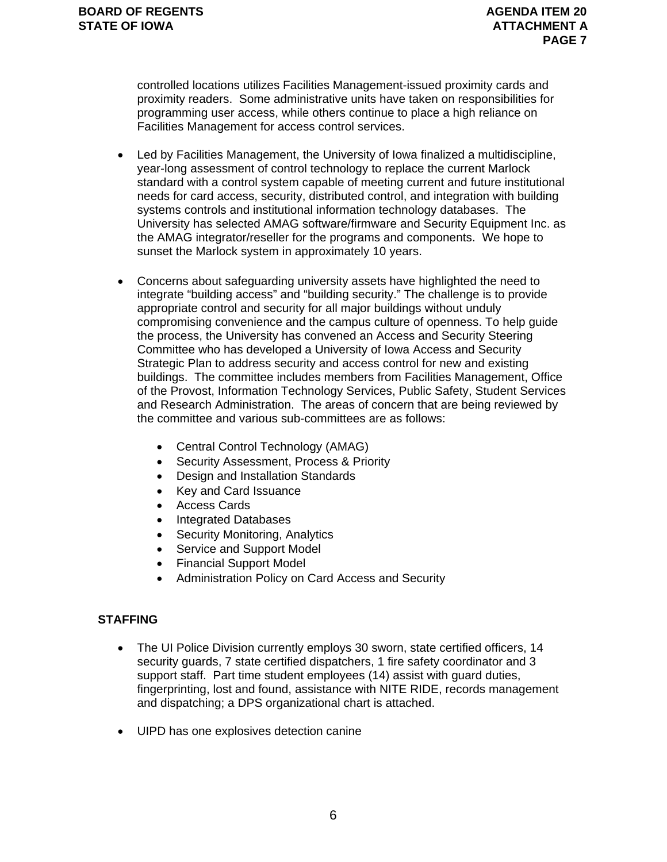controlled locations utilizes Facilities Management-issued proximity cards and proximity readers. Some administrative units have taken on responsibilities for programming user access, while others continue to place a high reliance on Facilities Management for access control services.

- Led by Facilities Management, the University of Iowa finalized a multidiscipline, year-long assessment of control technology to replace the current Marlock standard with a control system capable of meeting current and future institutional needs for card access, security, distributed control, and integration with building systems controls and institutional information technology databases. The University has selected AMAG software/firmware and Security Equipment Inc. as the AMAG integrator/reseller for the programs and components. We hope to sunset the Marlock system in approximately 10 years.
- Concerns about safeguarding university assets have highlighted the need to integrate "building access" and "building security." The challenge is to provide appropriate control and security for all major buildings without unduly compromising convenience and the campus culture of openness. To help guide the process, the University has convened an Access and Security Steering Committee who has developed a University of Iowa Access and Security Strategic Plan to address security and access control for new and existing buildings. The committee includes members from Facilities Management, Office of the Provost, Information Technology Services, Public Safety, Student Services and Research Administration. The areas of concern that are being reviewed by the committee and various sub-committees are as follows:
	- Central Control Technology (AMAG)
	- Security Assessment, Process & Priority
	- Design and Installation Standards
	- Key and Card Issuance
	- Access Cards
	- Integrated Databases
	- Security Monitoring, Analytics
	- Service and Support Model
	- Financial Support Model
	- Administration Policy on Card Access and Security

### **STAFFING**

- The UI Police Division currently employs 30 sworn, state certified officers, 14 security guards, 7 state certified dispatchers, 1 fire safety coordinator and 3 support staff. Part time student employees (14) assist with guard duties, fingerprinting, lost and found, assistance with NITE RIDE, records management and dispatching; a DPS organizational chart is attached.
- UIPD has one explosives detection canine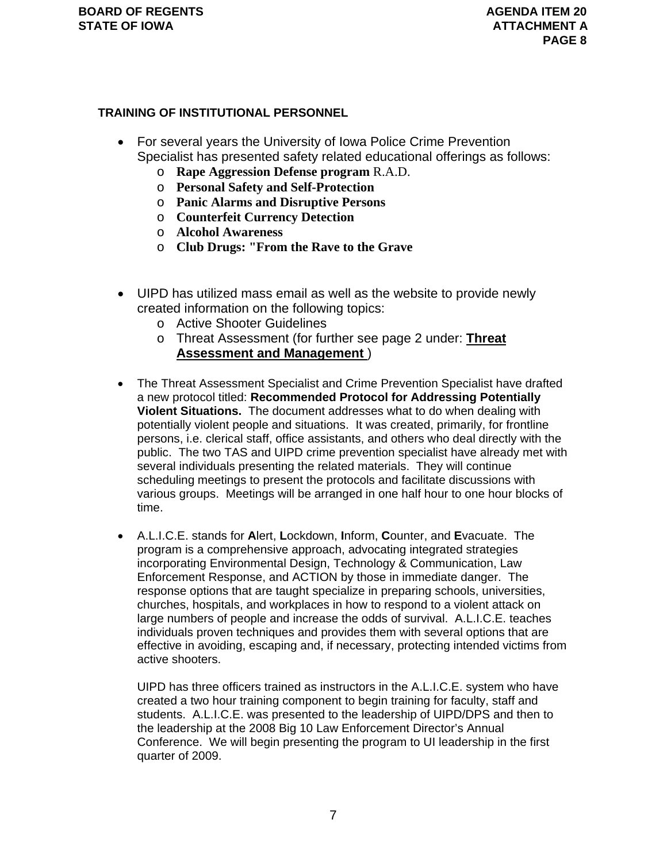### **TRAINING OF INSTITUTIONAL PERSONNEL**

- For several years the University of Iowa Police Crime Prevention Specialist has presented safety related educational offerings as follows:
	- o **Rape Aggression Defense program** R.A.D.
	- o **Personal Safety and Self-Protection**
	- o **Panic Alarms and Disruptive Persons**
	- o **Counterfeit Currency Detection**
	- o **Alcohol Awareness**
	- o **Club Drugs: "From the Rave to the Grave**
- UIPD has utilized mass email as well as the website to provide newly created information on the following topics:
	- o Active Shooter Guidelines
	- o Threat Assessment (for further see page 2 under: **Threat Assessment and Management** )
- The Threat Assessment Specialist and Crime Prevention Specialist have drafted a new protocol titled: **Recommended Protocol for Addressing Potentially Violent Situations.** The document addresses what to do when dealing with potentially violent people and situations. It was created, primarily, for frontline persons, i.e. clerical staff, office assistants, and others who deal directly with the public. The two TAS and UIPD crime prevention specialist have already met with several individuals presenting the related materials. They will continue scheduling meetings to present the protocols and facilitate discussions with various groups. Meetings will be arranged in one half hour to one hour blocks of time.
- A.L.I.C.E. stands for **A**lert, **L**ockdown, **I**nform, **C**ounter, and **E**vacuate. The program is a comprehensive approach, advocating integrated strategies incorporating Environmental Design, Technology & Communication, Law Enforcement Response, and ACTION by those in immediate danger. The response options that are taught specialize in preparing schools, universities, churches, hospitals, and workplaces in how to respond to a violent attack on large numbers of people and increase the odds of survival. A.L.I.C.E. teaches individuals proven techniques and provides them with several options that are effective in avoiding, escaping and, if necessary, protecting intended victims from active shooters.

UIPD has three officers trained as instructors in the A.L.I.C.E. system who have created a two hour training component to begin training for faculty, staff and students. A.L.I.C.E. was presented to the leadership of UIPD/DPS and then to the leadership at the 2008 Big 10 Law Enforcement Director's Annual Conference. We will begin presenting the program to UI leadership in the first quarter of 2009.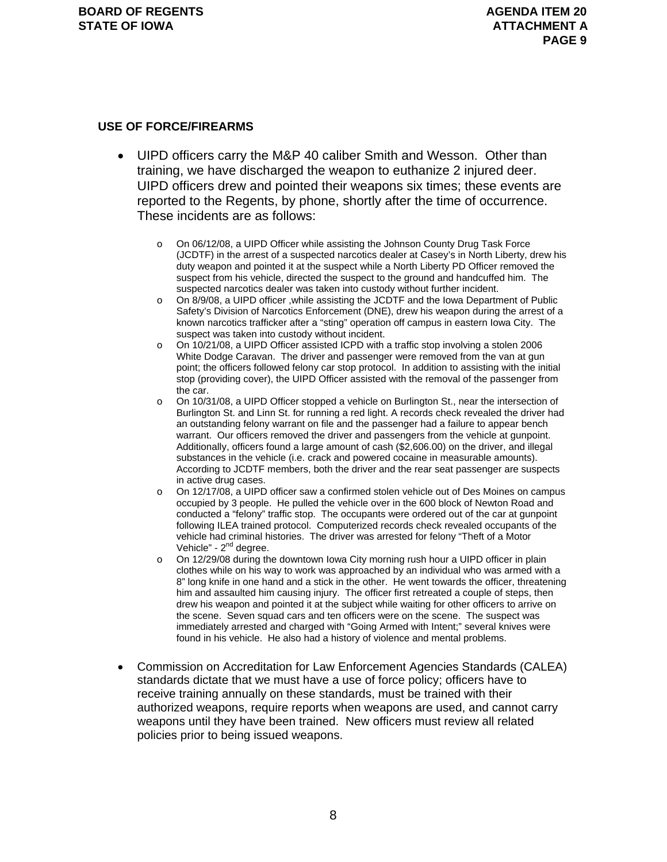#### **USE OF FORCE/FIREARMS**

- UIPD officers carry the M&P 40 caliber Smith and Wesson. Other than training, we have discharged the weapon to euthanize 2 injured deer. UIPD officers drew and pointed their weapons six times; these events are reported to the Regents, by phone, shortly after the time of occurrence. These incidents are as follows:
	- o On 06/12/08, a UIPD Officer while assisting the Johnson County Drug Task Force (JCDTF) in the arrest of a suspected narcotics dealer at Casey's in North Liberty, drew his duty weapon and pointed it at the suspect while a North Liberty PD Officer removed the suspect from his vehicle, directed the suspect to the ground and handcuffed him. The suspected narcotics dealer was taken into custody without further incident.
	- o On 8/9/08, a UIPD officer ,while assisting the JCDTF and the Iowa Department of Public Safety's Division of Narcotics Enforcement (DNE), drew his weapon during the arrest of a known narcotics trafficker after a "sting" operation off campus in eastern Iowa City. The suspect was taken into custody without incident.
	- o On 10/21/08, a UIPD Officer assisted ICPD with a traffic stop involving a stolen 2006 White Dodge Caravan. The driver and passenger were removed from the van at gun point; the officers followed felony car stop protocol. In addition to assisting with the initial stop (providing cover), the UIPD Officer assisted with the removal of the passenger from the car.
	- o On 10/31/08, a UIPD Officer stopped a vehicle on Burlington St., near the intersection of Burlington St. and Linn St. for running a red light. A records check revealed the driver had an outstanding felony warrant on file and the passenger had a failure to appear bench warrant. Our officers removed the driver and passengers from the vehicle at gunpoint. Additionally, officers found a large amount of cash (\$2,606.00) on the driver, and illegal substances in the vehicle (i.e. crack and powered cocaine in measurable amounts). According to JCDTF members, both the driver and the rear seat passenger are suspects in active drug cases.
	- o On 12/17/08, a UIPD officer saw a confirmed stolen vehicle out of Des Moines on campus occupied by 3 people. He pulled the vehicle over in the 600 block of Newton Road and conducted a "felony" traffic stop. The occupants were ordered out of the car at gunpoint following ILEA trained protocol. Computerized records check revealed occupants of the vehicle had criminal histories. The driver was arrested for felony "Theft of a Motor Vehicle" -  $2<sup>nd</sup>$  degree.
	- $\circ$  On 12/29/08 during the downtown lowa City morning rush hour a UIPD officer in plain clothes while on his way to work was approached by an individual who was armed with a 8" long knife in one hand and a stick in the other. He went towards the officer, threatening him and assaulted him causing injury. The officer first retreated a couple of steps, then drew his weapon and pointed it at the subject while waiting for other officers to arrive on the scene. Seven squad cars and ten officers were on the scene. The suspect was immediately arrested and charged with "Going Armed with Intent;" several knives were found in his vehicle. He also had a history of violence and mental problems.
- Commission on Accreditation for Law Enforcement Agencies Standards (CALEA) standards dictate that we must have a use of force policy; officers have to receive training annually on these standards, must be trained with their authorized weapons, require reports when weapons are used, and cannot carry weapons until they have been trained. New officers must review all related policies prior to being issued weapons.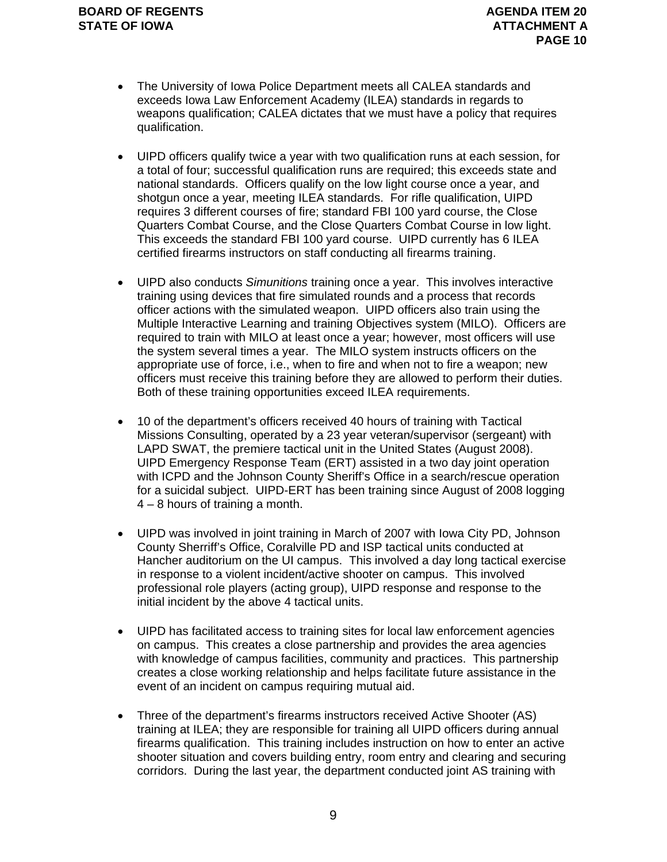- The University of Iowa Police Department meets all CALEA standards and exceeds Iowa Law Enforcement Academy (ILEA) standards in regards to weapons qualification; CALEA dictates that we must have a policy that requires qualification.
- UIPD officers qualify twice a year with two qualification runs at each session, for a total of four; successful qualification runs are required; this exceeds state and national standards. Officers qualify on the low light course once a year, and shotgun once a year, meeting ILEA standards. For rifle qualification, UIPD requires 3 different courses of fire; standard FBI 100 yard course, the Close Quarters Combat Course, and the Close Quarters Combat Course in low light. This exceeds the standard FBI 100 yard course. UIPD currently has 6 ILEA certified firearms instructors on staff conducting all firearms training.
- UIPD also conducts *Simunitions* training once a year. This involves interactive training using devices that fire simulated rounds and a process that records officer actions with the simulated weapon. UIPD officers also train using the Multiple Interactive Learning and training Objectives system (MILO). Officers are required to train with MILO at least once a year; however, most officers will use the system several times a year. The MILO system instructs officers on the appropriate use of force, i.e., when to fire and when not to fire a weapon; new officers must receive this training before they are allowed to perform their duties. Both of these training opportunities exceed ILEA requirements.
- 10 of the department's officers received 40 hours of training with Tactical Missions Consulting, operated by a 23 year veteran/supervisor (sergeant) with LAPD SWAT, the premiere tactical unit in the United States (August 2008). UIPD Emergency Response Team (ERT) assisted in a two day joint operation with ICPD and the Johnson County Sheriff's Office in a search/rescue operation for a suicidal subject. UIPD-ERT has been training since August of 2008 logging 4 – 8 hours of training a month.
- UIPD was involved in joint training in March of 2007 with Iowa City PD, Johnson County Sherriff's Office, Coralville PD and ISP tactical units conducted at Hancher auditorium on the UI campus. This involved a day long tactical exercise in response to a violent incident/active shooter on campus. This involved professional role players (acting group), UIPD response and response to the initial incident by the above 4 tactical units.
- UIPD has facilitated access to training sites for local law enforcement agencies on campus. This creates a close partnership and provides the area agencies with knowledge of campus facilities, community and practices. This partnership creates a close working relationship and helps facilitate future assistance in the event of an incident on campus requiring mutual aid.
- Three of the department's firearms instructors received Active Shooter (AS) training at ILEA; they are responsible for training all UIPD officers during annual firearms qualification. This training includes instruction on how to enter an active shooter situation and covers building entry, room entry and clearing and securing corridors. During the last year, the department conducted joint AS training with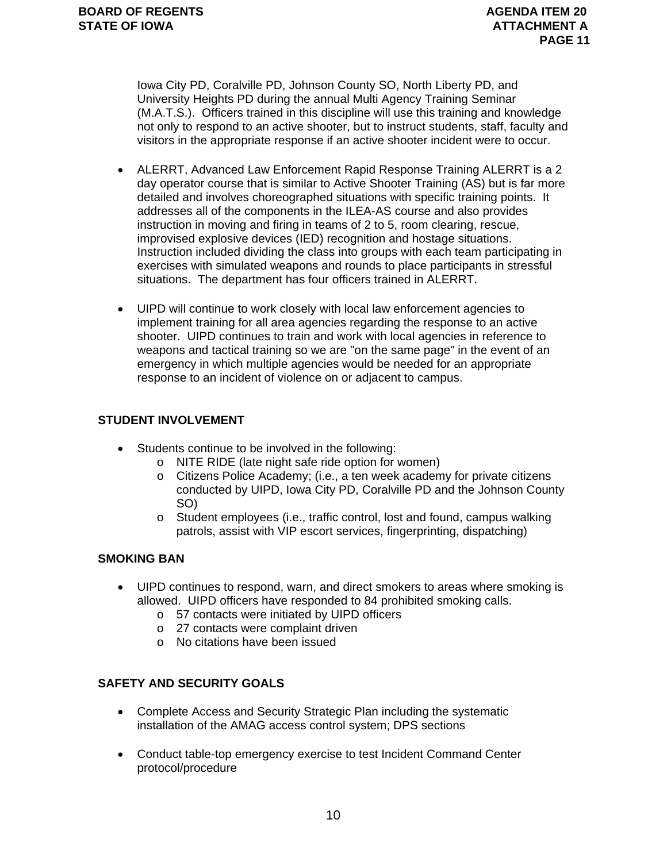Iowa City PD, Coralville PD, Johnson County SO, North Liberty PD, and University Heights PD during the annual Multi Agency Training Seminar (M.A.T.S.). Officers trained in this discipline will use this training and knowledge not only to respond to an active shooter, but to instruct students, staff, faculty and visitors in the appropriate response if an active shooter incident were to occur.

- ALERRT, Advanced Law Enforcement Rapid Response Training ALERRT is a 2 day operator course that is similar to Active Shooter Training (AS) but is far more detailed and involves choreographed situations with specific training points. It addresses all of the components in the ILEA-AS course and also provides instruction in moving and firing in teams of 2 to 5, room clearing, rescue, improvised explosive devices (IED) recognition and hostage situations. Instruction included dividing the class into groups with each team participating in exercises with simulated weapons and rounds to place participants in stressful situations. The department has four officers trained in ALERRT.
- UIPD will continue to work closely with local law enforcement agencies to implement training for all area agencies regarding the response to an active shooter. UIPD continues to train and work with local agencies in reference to weapons and tactical training so we are "on the same page" in the event of an emergency in which multiple agencies would be needed for an appropriate response to an incident of violence on or adjacent to campus.

### **STUDENT INVOLVEMENT**

- Students continue to be involved in the following:
	- o NITE RIDE (late night safe ride option for women)
	- o Citizens Police Academy; (i.e., a ten week academy for private citizens conducted by UIPD, Iowa City PD, Coralville PD and the Johnson County SO)
	- o Student employees (i.e., traffic control, lost and found, campus walking patrols, assist with VIP escort services, fingerprinting, dispatching)

### **SMOKING BAN**

- UIPD continues to respond, warn, and direct smokers to areas where smoking is allowed. UIPD officers have responded to 84 prohibited smoking calls.
	- o 57 contacts were initiated by UIPD officers
	- o 27 contacts were complaint driven
	- o No citations have been issued

### **SAFETY AND SECURITY GOALS**

- Complete Access and Security Strategic Plan including the systematic installation of the AMAG access control system; DPS sections
- Conduct table-top emergency exercise to test Incident Command Center protocol/procedure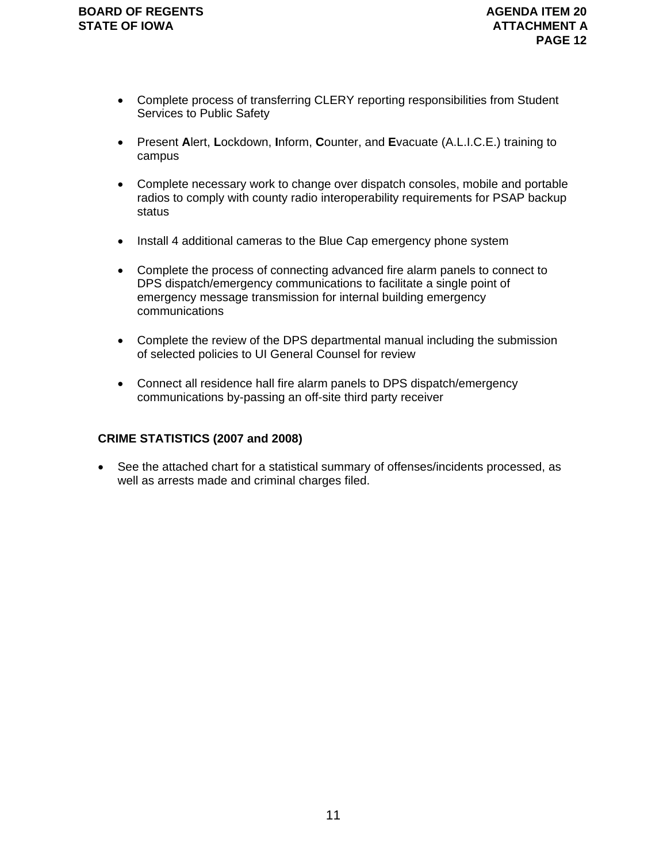- Complete process of transferring CLERY reporting responsibilities from Student Services to Public Safety
- Present **A**lert, **L**ockdown, **I**nform, **C**ounter, and **E**vacuate (A.L.I.C.E.) training to campus
- Complete necessary work to change over dispatch consoles, mobile and portable radios to comply with county radio interoperability requirements for PSAP backup status
- Install 4 additional cameras to the Blue Cap emergency phone system
- Complete the process of connecting advanced fire alarm panels to connect to DPS dispatch/emergency communications to facilitate a single point of emergency message transmission for internal building emergency communications
- Complete the review of the DPS departmental manual including the submission of selected policies to UI General Counsel for review
- Connect all residence hall fire alarm panels to DPS dispatch/emergency communications by-passing an off-site third party receiver

### **CRIME STATISTICS (2007 and 2008)**

• See the attached chart for a statistical summary of offenses/incidents processed, as well as arrests made and criminal charges filed.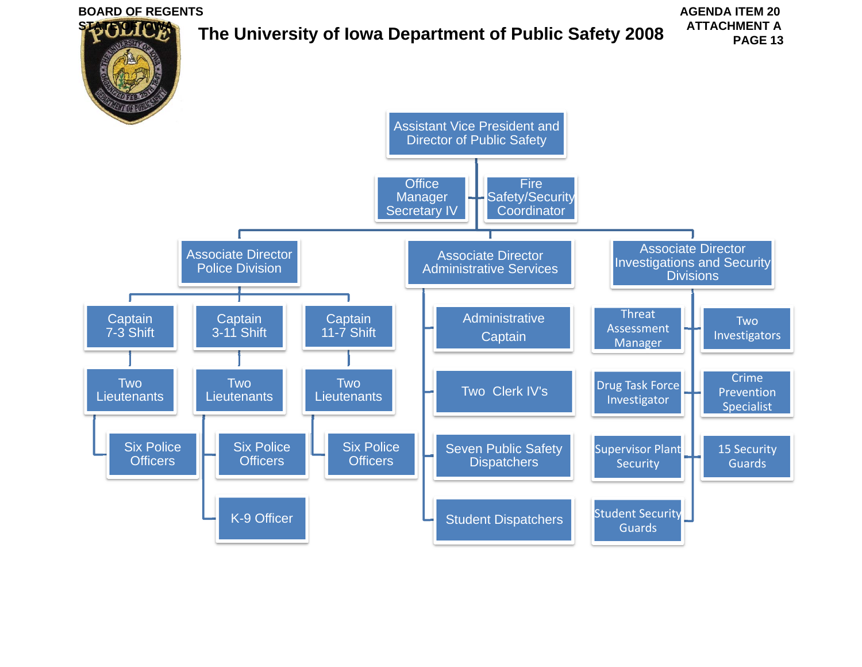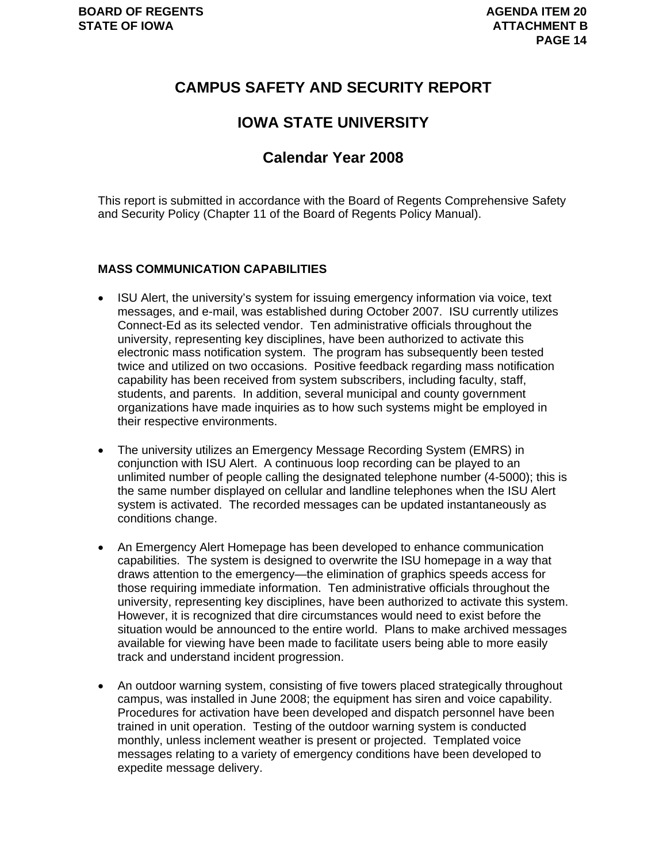### **CAMPUS SAFETY AND SECURITY REPORT**

### **IOWA STATE UNIVERSITY**

### **Calendar Year 2008**

This report is submitted in accordance with the Board of Regents Comprehensive Safety and Security Policy (Chapter 11 of the Board of Regents Policy Manual).

### **MASS COMMUNICATION CAPABILITIES**

- ISU Alert, the university's system for issuing emergency information via voice, text messages, and e-mail, was established during October 2007. ISU currently utilizes Connect-Ed as its selected vendor. Ten administrative officials throughout the university, representing key disciplines, have been authorized to activate this electronic mass notification system. The program has subsequently been tested twice and utilized on two occasions. Positive feedback regarding mass notification capability has been received from system subscribers, including faculty, staff, students, and parents. In addition, several municipal and county government organizations have made inquiries as to how such systems might be employed in their respective environments.
- The university utilizes an Emergency Message Recording System (EMRS) in conjunction with ISU Alert. A continuous loop recording can be played to an unlimited number of people calling the designated telephone number (4-5000); this is the same number displayed on cellular and landline telephones when the ISU Alert system is activated. The recorded messages can be updated instantaneously as conditions change.
- An Emergency Alert Homepage has been developed to enhance communication capabilities. The system is designed to overwrite the ISU homepage in a way that draws attention to the emergency—the elimination of graphics speeds access for those requiring immediate information. Ten administrative officials throughout the university, representing key disciplines, have been authorized to activate this system. However, it is recognized that dire circumstances would need to exist before the situation would be announced to the entire world. Plans to make archived messages available for viewing have been made to facilitate users being able to more easily track and understand incident progression.
- An outdoor warning system, consisting of five towers placed strategically throughout campus, was installed in June 2008; the equipment has siren and voice capability. Procedures for activation have been developed and dispatch personnel have been trained in unit operation. Testing of the outdoor warning system is conducted monthly, unless inclement weather is present or projected. Templated voice messages relating to a variety of emergency conditions have been developed to expedite message delivery.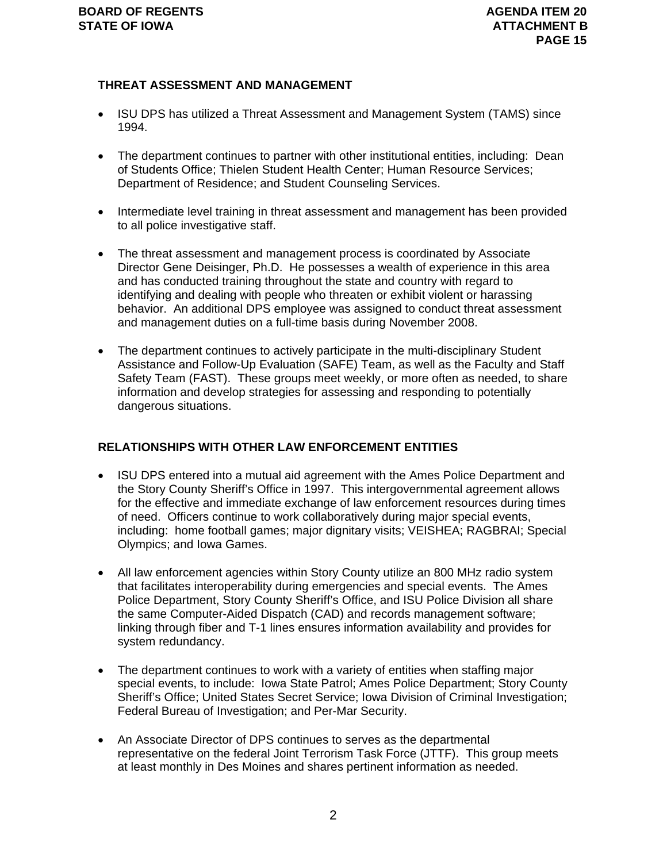### **THREAT ASSESSMENT AND MANAGEMENT**

- ISU DPS has utilized a Threat Assessment and Management System (TAMS) since 1994.
- The department continues to partner with other institutional entities, including: Dean of Students Office; Thielen Student Health Center; Human Resource Services; Department of Residence; and Student Counseling Services.
- Intermediate level training in threat assessment and management has been provided to all police investigative staff.
- The threat assessment and management process is coordinated by Associate Director Gene Deisinger, Ph.D. He possesses a wealth of experience in this area and has conducted training throughout the state and country with regard to identifying and dealing with people who threaten or exhibit violent or harassing behavior. An additional DPS employee was assigned to conduct threat assessment and management duties on a full-time basis during November 2008.
- The department continues to actively participate in the multi-disciplinary Student Assistance and Follow-Up Evaluation (SAFE) Team, as well as the Faculty and Staff Safety Team (FAST). These groups meet weekly, or more often as needed, to share information and develop strategies for assessing and responding to potentially dangerous situations.

### **RELATIONSHIPS WITH OTHER LAW ENFORCEMENT ENTITIES**

- ISU DPS entered into a mutual aid agreement with the Ames Police Department and the Story County Sheriff's Office in 1997. This intergovernmental agreement allows for the effective and immediate exchange of law enforcement resources during times of need. Officers continue to work collaboratively during major special events, including: home football games; major dignitary visits; VEISHEA; RAGBRAI; Special Olympics; and Iowa Games.
- All law enforcement agencies within Story County utilize an 800 MHz radio system that facilitates interoperability during emergencies and special events. The Ames Police Department, Story County Sheriff's Office, and ISU Police Division all share the same Computer-Aided Dispatch (CAD) and records management software; linking through fiber and T-1 lines ensures information availability and provides for system redundancy.
- The department continues to work with a variety of entities when staffing major special events, to include: Iowa State Patrol; Ames Police Department; Story County Sheriff's Office; United States Secret Service; Iowa Division of Criminal Investigation; Federal Bureau of Investigation; and Per-Mar Security.
- An Associate Director of DPS continues to serves as the departmental representative on the federal Joint Terrorism Task Force (JTTF). This group meets at least monthly in Des Moines and shares pertinent information as needed.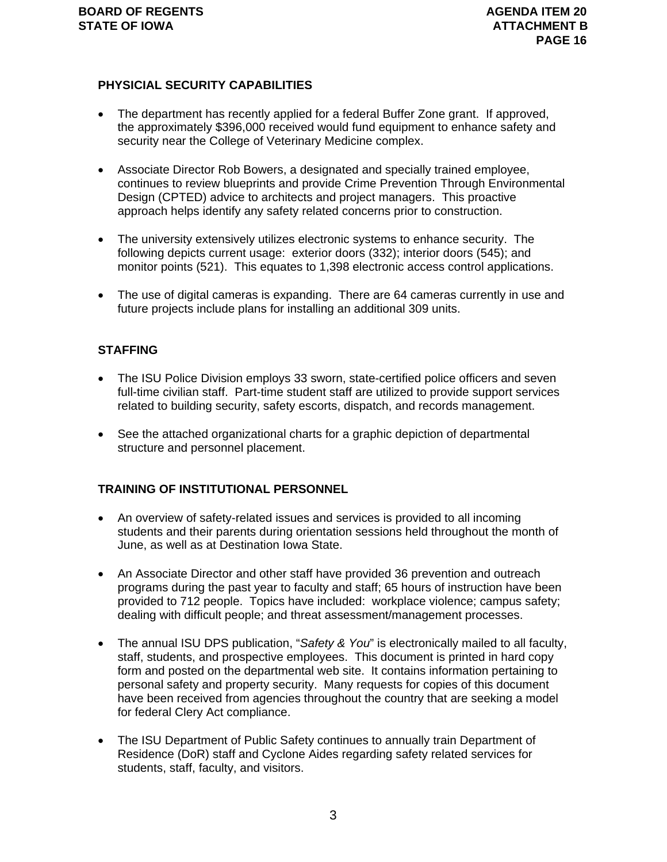### **PHYSICIAL SECURITY CAPABILITIES**

- The department has recently applied for a federal Buffer Zone grant. If approved, the approximately \$396,000 received would fund equipment to enhance safety and security near the College of Veterinary Medicine complex.
- Associate Director Rob Bowers, a designated and specially trained employee, continues to review blueprints and provide Crime Prevention Through Environmental Design (CPTED) advice to architects and project managers. This proactive approach helps identify any safety related concerns prior to construction.
- The university extensively utilizes electronic systems to enhance security. The following depicts current usage: exterior doors (332); interior doors (545); and monitor points (521). This equates to 1,398 electronic access control applications.
- The use of digital cameras is expanding. There are 64 cameras currently in use and future projects include plans for installing an additional 309 units.

### **STAFFING**

- The ISU Police Division employs 33 sworn, state-certified police officers and seven full-time civilian staff. Part-time student staff are utilized to provide support services related to building security, safety escorts, dispatch, and records management.
- See the attached organizational charts for a graphic depiction of departmental structure and personnel placement.

### **TRAINING OF INSTITUTIONAL PERSONNEL**

- An overview of safety-related issues and services is provided to all incoming students and their parents during orientation sessions held throughout the month of June, as well as at Destination Iowa State.
- An Associate Director and other staff have provided 36 prevention and outreach programs during the past year to faculty and staff; 65 hours of instruction have been provided to 712 people. Topics have included: workplace violence; campus safety; dealing with difficult people; and threat assessment/management processes.
- The annual ISU DPS publication, "*Safety & You*" is electronically mailed to all faculty, staff, students, and prospective employees. This document is printed in hard copy form and posted on the departmental web site. It contains information pertaining to personal safety and property security. Many requests for copies of this document have been received from agencies throughout the country that are seeking a model for federal Clery Act compliance.
- The ISU Department of Public Safety continues to annually train Department of Residence (DoR) staff and Cyclone Aides regarding safety related services for students, staff, faculty, and visitors.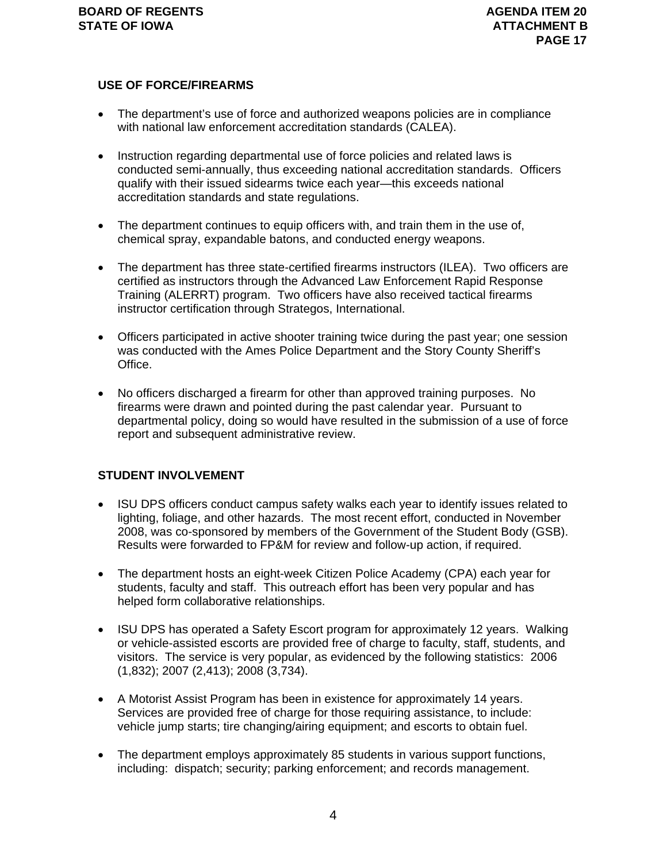### **USE OF FORCE/FIREARMS**

- The department's use of force and authorized weapons policies are in compliance with national law enforcement accreditation standards (CALEA).
- Instruction regarding departmental use of force policies and related laws is conducted semi-annually, thus exceeding national accreditation standards. Officers qualify with their issued sidearms twice each year—this exceeds national accreditation standards and state regulations.
- The department continues to equip officers with, and train them in the use of, chemical spray, expandable batons, and conducted energy weapons.
- The department has three state-certified firearms instructors (ILEA). Two officers are certified as instructors through the Advanced Law Enforcement Rapid Response Training (ALERRT) program. Two officers have also received tactical firearms instructor certification through Strategos, International.
- Officers participated in active shooter training twice during the past year; one session was conducted with the Ames Police Department and the Story County Sheriff's Office.
- No officers discharged a firearm for other than approved training purposes. No firearms were drawn and pointed during the past calendar year. Pursuant to departmental policy, doing so would have resulted in the submission of a use of force report and subsequent administrative review.

### **STUDENT INVOLVEMENT**

- ISU DPS officers conduct campus safety walks each year to identify issues related to lighting, foliage, and other hazards. The most recent effort, conducted in November 2008, was co-sponsored by members of the Government of the Student Body (GSB). Results were forwarded to FP&M for review and follow-up action, if required.
- The department hosts an eight-week Citizen Police Academy (CPA) each year for students, faculty and staff. This outreach effort has been very popular and has helped form collaborative relationships.
- ISU DPS has operated a Safety Escort program for approximately 12 years. Walking or vehicle-assisted escorts are provided free of charge to faculty, staff, students, and visitors. The service is very popular, as evidenced by the following statistics: 2006 (1,832); 2007 (2,413); 2008 (3,734).
- A Motorist Assist Program has been in existence for approximately 14 years. Services are provided free of charge for those requiring assistance, to include: vehicle jump starts; tire changing/airing equipment; and escorts to obtain fuel.
- The department employs approximately 85 students in various support functions, including: dispatch; security; parking enforcement; and records management.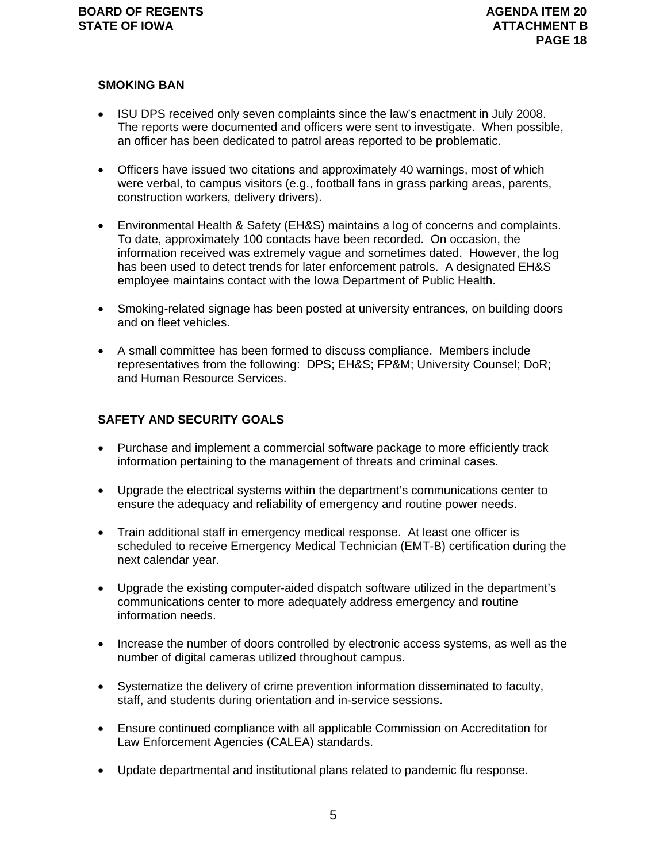### **SMOKING BAN**

- ISU DPS received only seven complaints since the law's enactment in July 2008. The reports were documented and officers were sent to investigate. When possible, an officer has been dedicated to patrol areas reported to be problematic.
- Officers have issued two citations and approximately 40 warnings, most of which were verbal, to campus visitors (e.g., football fans in grass parking areas, parents, construction workers, delivery drivers).
- Environmental Health & Safety (EH&S) maintains a log of concerns and complaints. To date, approximately 100 contacts have been recorded. On occasion, the information received was extremely vague and sometimes dated. However, the log has been used to detect trends for later enforcement patrols. A designated EH&S employee maintains contact with the Iowa Department of Public Health.
- Smoking-related signage has been posted at university entrances, on building doors and on fleet vehicles.
- A small committee has been formed to discuss compliance. Members include representatives from the following: DPS; EH&S; FP&M; University Counsel; DoR; and Human Resource Services.

### **SAFETY AND SECURITY GOALS**

- Purchase and implement a commercial software package to more efficiently track information pertaining to the management of threats and criminal cases.
- Upgrade the electrical systems within the department's communications center to ensure the adequacy and reliability of emergency and routine power needs.
- Train additional staff in emergency medical response. At least one officer is scheduled to receive Emergency Medical Technician (EMT-B) certification during the next calendar year.
- Upgrade the existing computer-aided dispatch software utilized in the department's communications center to more adequately address emergency and routine information needs.
- Increase the number of doors controlled by electronic access systems, as well as the number of digital cameras utilized throughout campus.
- Systematize the delivery of crime prevention information disseminated to faculty, staff, and students during orientation and in-service sessions.
- Ensure continued compliance with all applicable Commission on Accreditation for Law Enforcement Agencies (CALEA) standards.
- Update departmental and institutional plans related to pandemic flu response.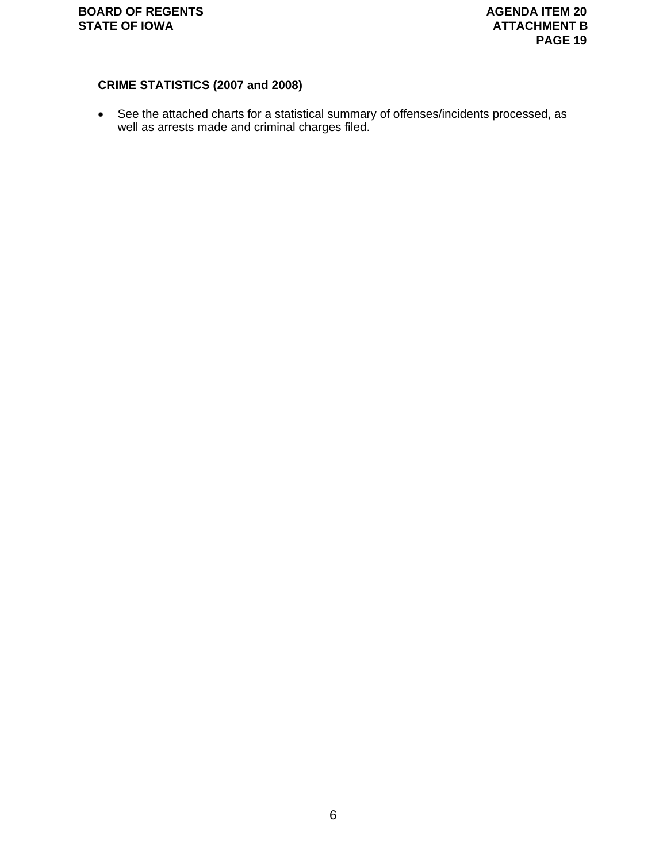### **CRIME STATISTICS (2007 and 2008)**

• See the attached charts for a statistical summary of offenses/incidents processed, as well as arrests made and criminal charges filed.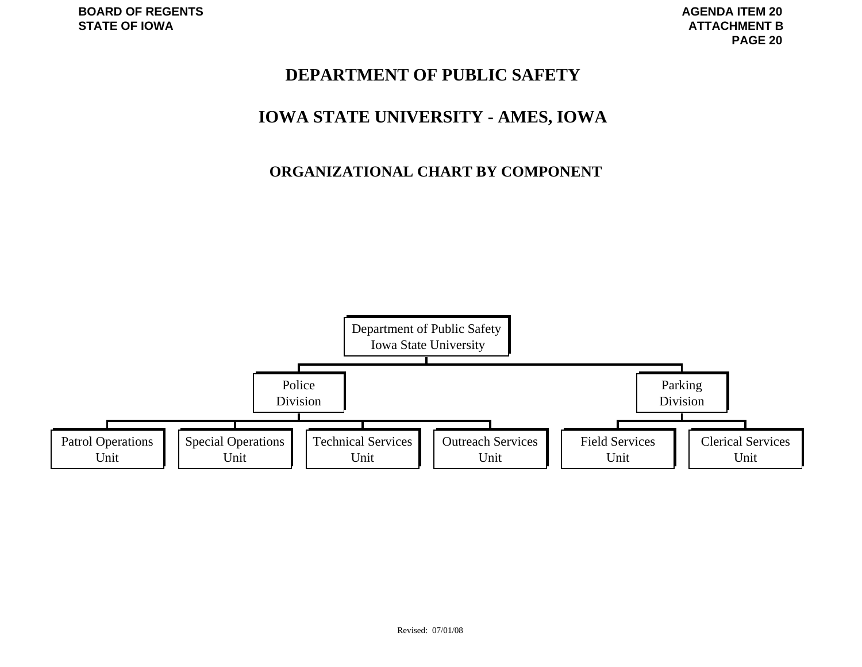# **DEPARTMENT OF PUBLIC SAFETY**

# **IOWA STATE UNIVERSITY - AMES, IOWA**

# **ORGANIZATIONAL CHART BY COMPONENT**

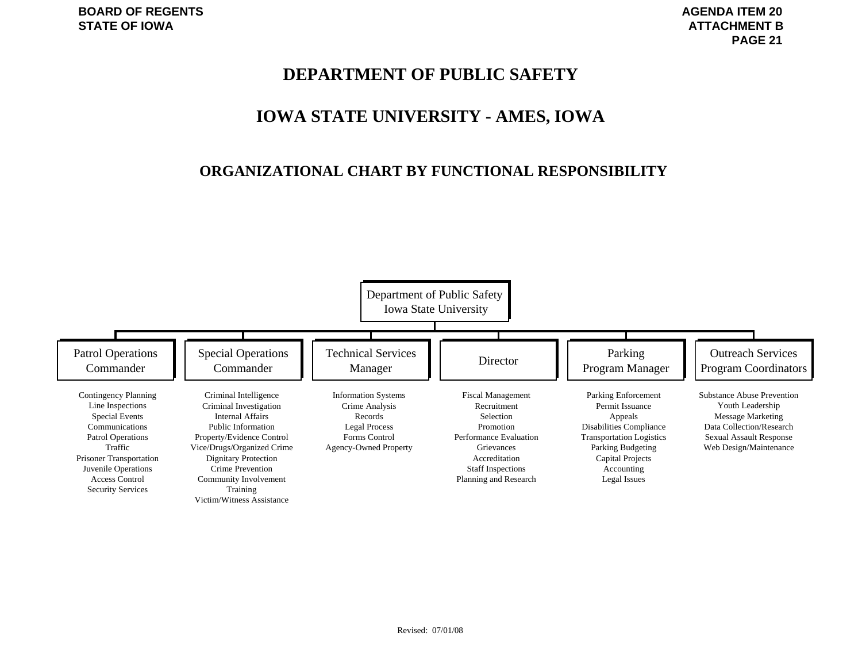# **DEPARTMENT OF PUBLIC SAFETY**

# **IOWA STATE UNIVERSITY - AMES, IOWA**

### **ORGANIZATIONAL CHART BY FUNCTIONAL RESPONSIBILITY**

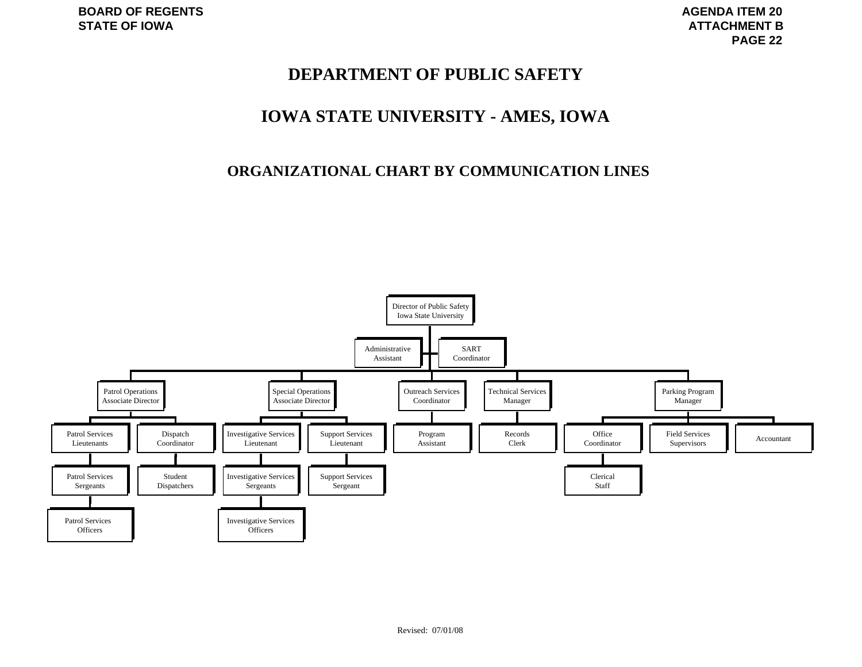# **DEPARTMENT OF PUBLIC SAFETY**

# **IOWA STATE UNIVERSITY - AMES, IOWA**

### **ORGANIZATIONAL CHART BY COMMUNICATION LINES**

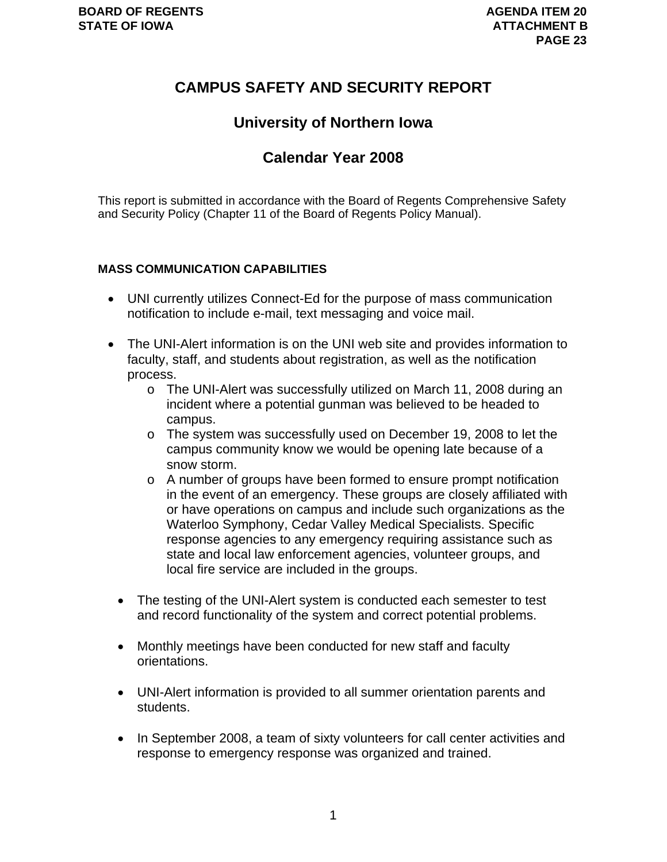# **CAMPUS SAFETY AND SECURITY REPORT**

# **University of Northern Iowa**

# **Calendar Year 2008**

This report is submitted in accordance with the Board of Regents Comprehensive Safety and Security Policy (Chapter 11 of the Board of Regents Policy Manual).

### **MASS COMMUNICATION CAPABILITIES**

- UNI currently utilizes Connect-Ed for the purpose of mass communication notification to include e-mail, text messaging and voice mail.
- The UNI-Alert information is on the UNI web site and provides information to faculty, staff, and students about registration, as well as the notification process.
	- o The UNI-Alert was successfully utilized on March 11, 2008 during an incident where a potential gunman was believed to be headed to campus.
	- o The system was successfully used on December 19, 2008 to let the campus community know we would be opening late because of a snow storm.
	- o A number of groups have been formed to ensure prompt notification in the event of an emergency. These groups are closely affiliated with or have operations on campus and include such organizations as the Waterloo Symphony, Cedar Valley Medical Specialists. Specific response agencies to any emergency requiring assistance such as state and local law enforcement agencies, volunteer groups, and local fire service are included in the groups.
	- The testing of the UNI-Alert system is conducted each semester to test and record functionality of the system and correct potential problems.
	- Monthly meetings have been conducted for new staff and faculty orientations.
	- UNI-Alert information is provided to all summer orientation parents and students.
	- In September 2008, a team of sixty volunteers for call center activities and response to emergency response was organized and trained.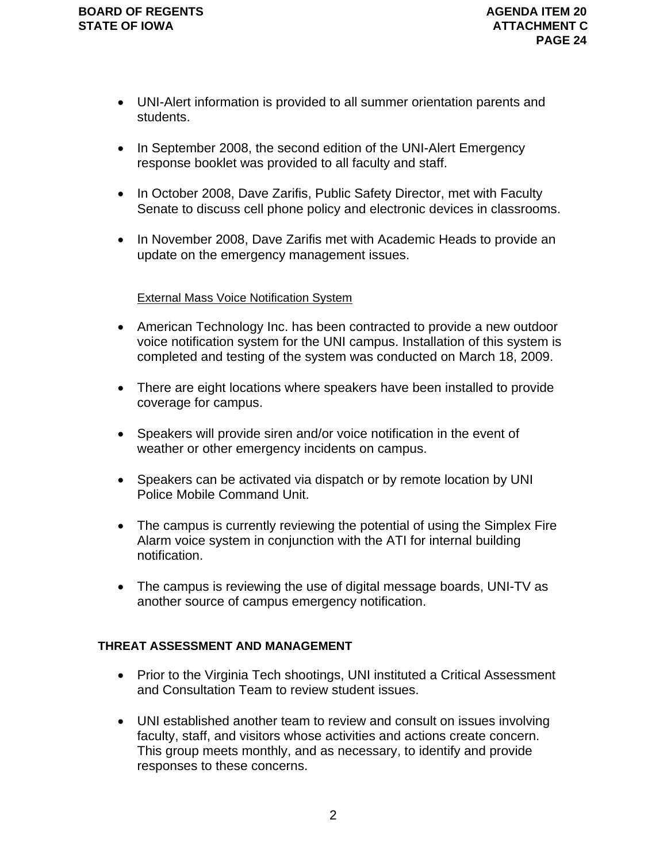- UNI-Alert information is provided to all summer orientation parents and students.
- In September 2008, the second edition of the UNI-Alert Emergency response booklet was provided to all faculty and staff.
- In October 2008, Dave Zarifis, Public Safety Director, met with Faculty Senate to discuss cell phone policy and electronic devices in classrooms.
- In November 2008, Dave Zarifis met with Academic Heads to provide an update on the emergency management issues.

### External Mass Voice Notification System

- American Technology Inc. has been contracted to provide a new outdoor voice notification system for the UNI campus. Installation of this system is completed and testing of the system was conducted on March 18, 2009.
- There are eight locations where speakers have been installed to provide coverage for campus.
- Speakers will provide siren and/or voice notification in the event of weather or other emergency incidents on campus.
- Speakers can be activated via dispatch or by remote location by UNI Police Mobile Command Unit.
- The campus is currently reviewing the potential of using the Simplex Fire Alarm voice system in conjunction with the ATI for internal building notification.
- The campus is reviewing the use of digital message boards, UNI-TV as another source of campus emergency notification.

### **THREAT ASSESSMENT AND MANAGEMENT**

- Prior to the Virginia Tech shootings, UNI instituted a Critical Assessment and Consultation Team to review student issues.
- UNI established another team to review and consult on issues involving faculty, staff, and visitors whose activities and actions create concern. This group meets monthly, and as necessary, to identify and provide responses to these concerns.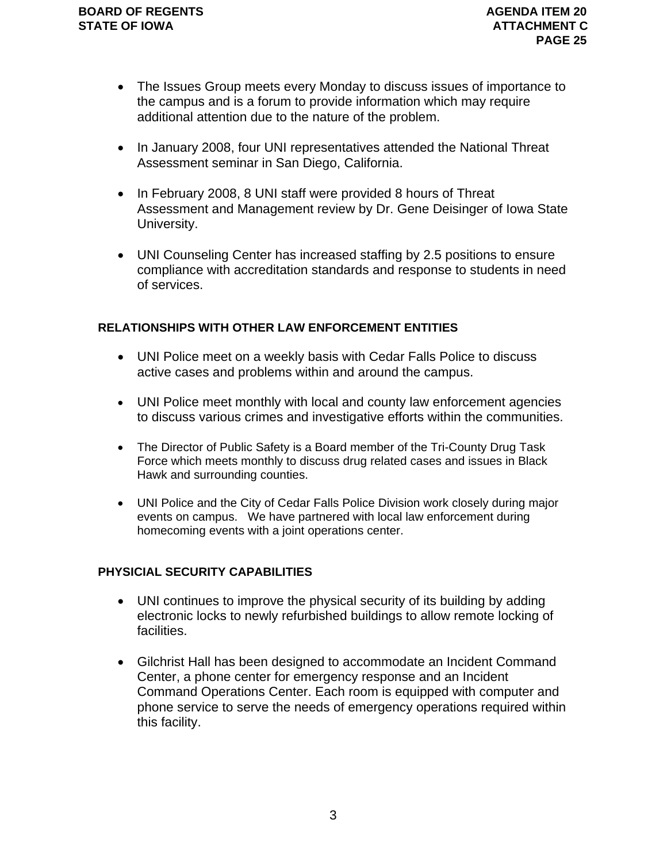- The Issues Group meets every Monday to discuss issues of importance to the campus and is a forum to provide information which may require additional attention due to the nature of the problem.
- In January 2008, four UNI representatives attended the National Threat Assessment seminar in San Diego, California.
- In February 2008, 8 UNI staff were provided 8 hours of Threat Assessment and Management review by Dr. Gene Deisinger of Iowa State University.
- UNI Counseling Center has increased staffing by 2.5 positions to ensure compliance with accreditation standards and response to students in need of services.

### **RELATIONSHIPS WITH OTHER LAW ENFORCEMENT ENTITIES**

- UNI Police meet on a weekly basis with Cedar Falls Police to discuss active cases and problems within and around the campus.
- UNI Police meet monthly with local and county law enforcement agencies to discuss various crimes and investigative efforts within the communities.
- The Director of Public Safety is a Board member of the Tri-County Drug Task Force which meets monthly to discuss drug related cases and issues in Black Hawk and surrounding counties.
- UNI Police and the City of Cedar Falls Police Division work closely during major events on campus. We have partnered with local law enforcement during homecoming events with a joint operations center.

### **PHYSICIAL SECURITY CAPABILITIES**

- UNI continues to improve the physical security of its building by adding electronic locks to newly refurbished buildings to allow remote locking of facilities.
- Gilchrist Hall has been designed to accommodate an Incident Command Center, a phone center for emergency response and an Incident Command Operations Center. Each room is equipped with computer and phone service to serve the needs of emergency operations required within this facility.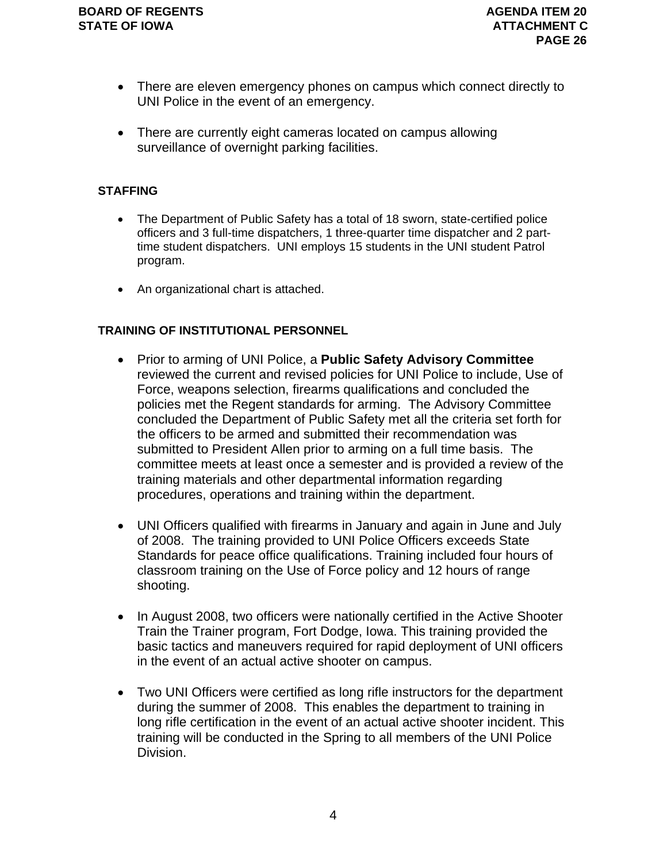- There are eleven emergency phones on campus which connect directly to UNI Police in the event of an emergency.
- There are currently eight cameras located on campus allowing surveillance of overnight parking facilities.

### **STAFFING**

- The Department of Public Safety has a total of 18 sworn, state-certified police officers and 3 full-time dispatchers, 1 three-quarter time dispatcher and 2 parttime student dispatchers. UNI employs 15 students in the UNI student Patrol program.
- An organizational chart is attached.

### **TRAINING OF INSTITUTIONAL PERSONNEL**

- Prior to arming of UNI Police, a **Public Safety Advisory Committee** reviewed the current and revised policies for UNI Police to include, Use of Force, weapons selection, firearms qualifications and concluded the policies met the Regent standards for arming. The Advisory Committee concluded the Department of Public Safety met all the criteria set forth for the officers to be armed and submitted their recommendation was submitted to President Allen prior to arming on a full time basis. The committee meets at least once a semester and is provided a review of the training materials and other departmental information regarding procedures, operations and training within the department.
- UNI Officers qualified with firearms in January and again in June and July of 2008. The training provided to UNI Police Officers exceeds State Standards for peace office qualifications. Training included four hours of classroom training on the Use of Force policy and 12 hours of range shooting.
- In August 2008, two officers were nationally certified in the Active Shooter Train the Trainer program, Fort Dodge, Iowa. This training provided the basic tactics and maneuvers required for rapid deployment of UNI officers in the event of an actual active shooter on campus.
- Two UNI Officers were certified as long rifle instructors for the department during the summer of 2008. This enables the department to training in long rifle certification in the event of an actual active shooter incident. This training will be conducted in the Spring to all members of the UNI Police Division.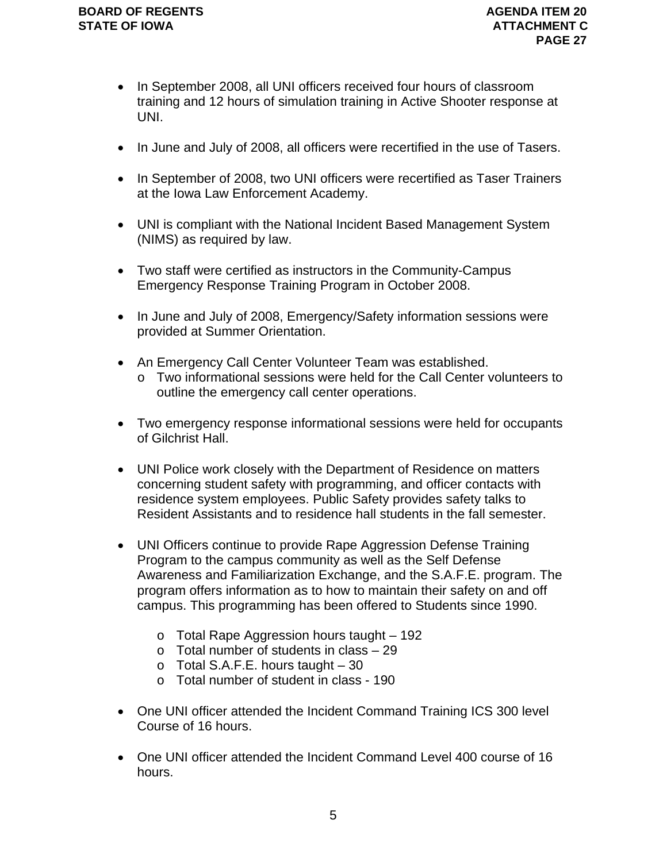- In September 2008, all UNI officers received four hours of classroom training and 12 hours of simulation training in Active Shooter response at UNI.
- In June and July of 2008, all officers were recertified in the use of Tasers.
- In September of 2008, two UNI officers were recertified as Taser Trainers at the Iowa Law Enforcement Academy.
- UNI is compliant with the National Incident Based Management System (NIMS) as required by law.
- Two staff were certified as instructors in the Community-Campus Emergency Response Training Program in October 2008.
- In June and July of 2008, Emergency/Safety information sessions were provided at Summer Orientation.
- An Emergency Call Center Volunteer Team was established.
	- o Two informational sessions were held for the Call Center volunteers to outline the emergency call center operations.
- Two emergency response informational sessions were held for occupants of Gilchrist Hall.
- UNI Police work closely with the Department of Residence on matters concerning student safety with programming, and officer contacts with residence system employees. Public Safety provides safety talks to Resident Assistants and to residence hall students in the fall semester.
- UNI Officers continue to provide Rape Aggression Defense Training Program to the campus community as well as the Self Defense Awareness and Familiarization Exchange, and the S.A.F.E. program. The program offers information as to how to maintain their safety on and off campus. This programming has been offered to Students since 1990.
	- $\circ$  Total Rape Aggression hours taught 192
	- $\circ$  Total number of students in class  $-29$
	- $\circ$  Total S.A.F.E. hours taught  $-30$
	- o Total number of student in class 190
- One UNI officer attended the Incident Command Training ICS 300 level Course of 16 hours.
- One UNI officer attended the Incident Command Level 400 course of 16 hours.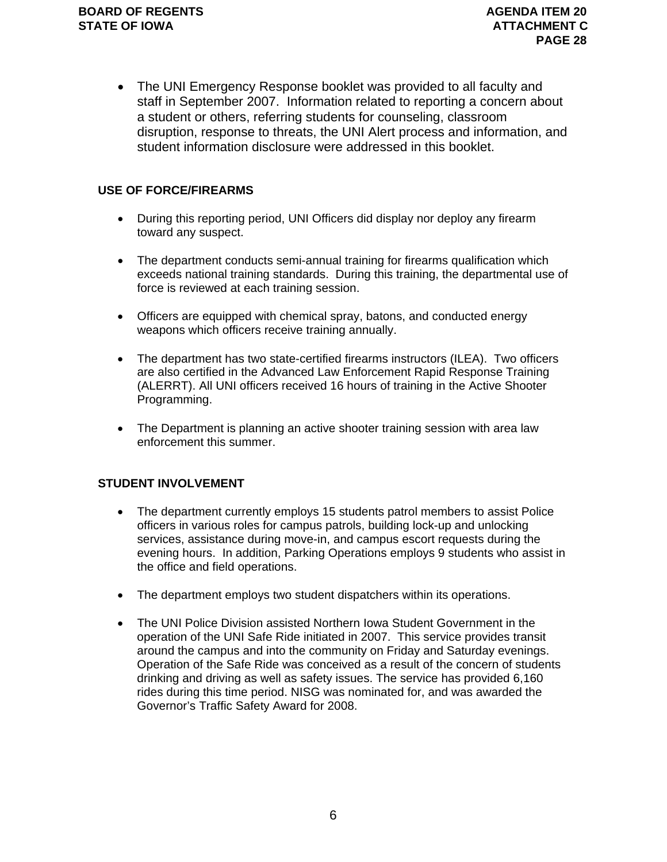• The UNI Emergency Response booklet was provided to all faculty and staff in September 2007. Information related to reporting a concern about a student or others, referring students for counseling, classroom disruption, response to threats, the UNI Alert process and information, and student information disclosure were addressed in this booklet.

### **USE OF FORCE/FIREARMS**

- During this reporting period, UNI Officers did display nor deploy any firearm toward any suspect.
- The department conducts semi-annual training for firearms qualification which exceeds national training standards. During this training, the departmental use of force is reviewed at each training session.
- Officers are equipped with chemical spray, batons, and conducted energy weapons which officers receive training annually.
- The department has two state-certified firearms instructors (ILEA). Two officers are also certified in the Advanced Law Enforcement Rapid Response Training (ALERRT). All UNI officers received 16 hours of training in the Active Shooter Programming.
- The Department is planning an active shooter training session with area law enforcement this summer.

### **STUDENT INVOLVEMENT**

- The department currently employs 15 students patrol members to assist Police officers in various roles for campus patrols, building lock-up and unlocking services, assistance during move-in, and campus escort requests during the evening hours. In addition, Parking Operations employs 9 students who assist in the office and field operations.
- The department employs two student dispatchers within its operations.
- The UNI Police Division assisted Northern Iowa Student Government in the operation of the UNI Safe Ride initiated in 2007. This service provides transit around the campus and into the community on Friday and Saturday evenings. Operation of the Safe Ride was conceived as a result of the concern of students drinking and driving as well as safety issues. The service has provided 6,160 rides during this time period. NISG was nominated for, and was awarded the Governor's Traffic Safety Award for 2008.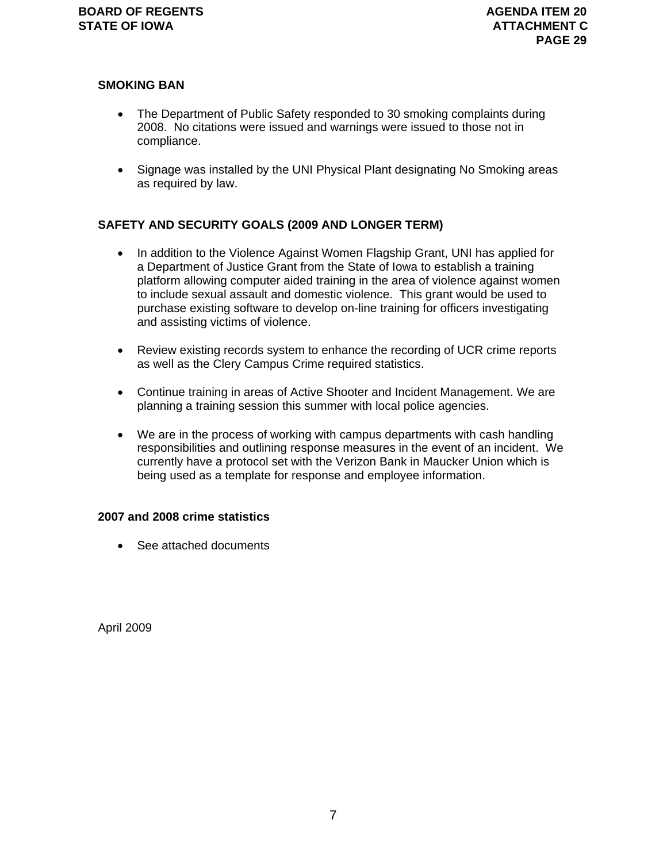### **SMOKING BAN**

- The Department of Public Safety responded to 30 smoking complaints during 2008. No citations were issued and warnings were issued to those not in compliance.
- Signage was installed by the UNI Physical Plant designating No Smoking areas as required by law.

### **SAFETY AND SECURITY GOALS (2009 AND LONGER TERM)**

- In addition to the Violence Against Women Flagship Grant, UNI has applied for a Department of Justice Grant from the State of Iowa to establish a training platform allowing computer aided training in the area of violence against women to include sexual assault and domestic violence. This grant would be used to purchase existing software to develop on-line training for officers investigating and assisting victims of violence.
- Review existing records system to enhance the recording of UCR crime reports as well as the Clery Campus Crime required statistics.
- Continue training in areas of Active Shooter and Incident Management. We are planning a training session this summer with local police agencies.
- We are in the process of working with campus departments with cash handling responsibilities and outlining response measures in the event of an incident. We currently have a protocol set with the Verizon Bank in Maucker Union which is being used as a template for response and employee information.

#### **2007 and 2008 crime statistics**

• See attached documents

April 2009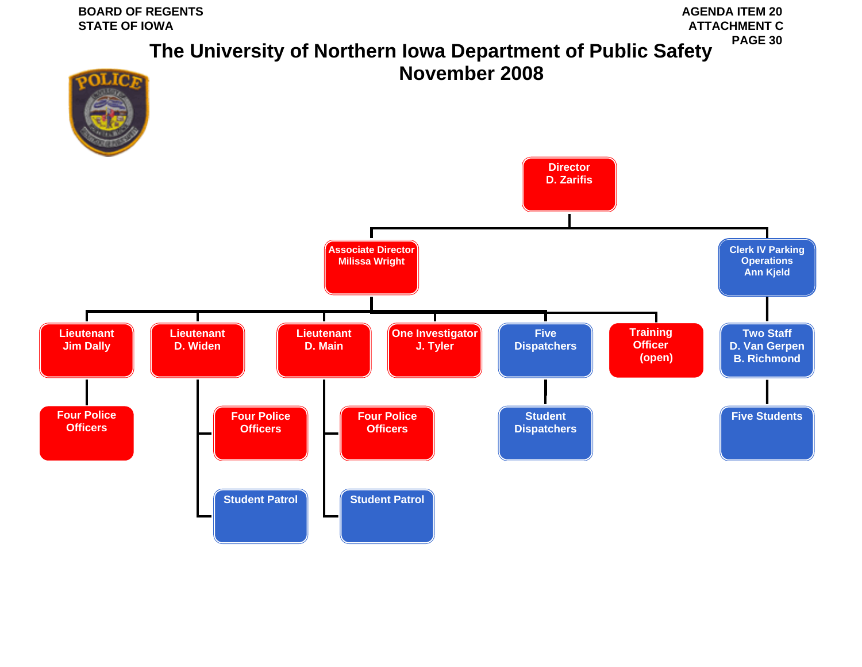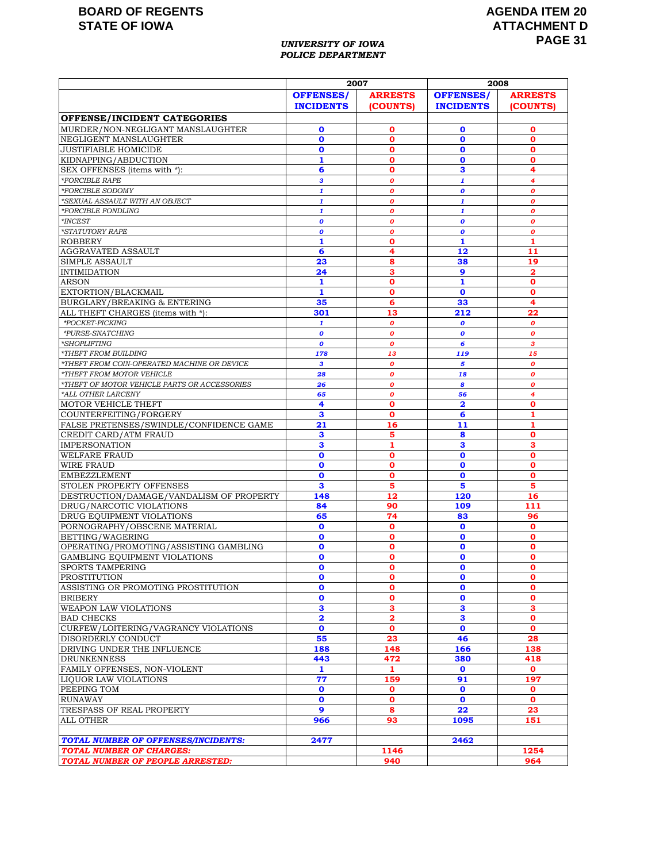### **AGENDA ITEM 20 ATTACHMENT D PAGE 31**

#### *UNIVERSITY OF IOWA POLICE DEPARTMENT*

|                                                                   | 2007                    |                         | 2008                    |                         |
|-------------------------------------------------------------------|-------------------------|-------------------------|-------------------------|-------------------------|
|                                                                   | <b>OFFENSES/</b>        | <b>ARRESTS</b>          | <b>OFFENSES/</b>        | <b>ARRESTS</b>          |
|                                                                   | <b>INCIDENTS</b>        | (COUNTS)                | <b>INCIDENTS</b>        | (COUNTS)                |
| OFFENSE/INCIDENT CATEGORIES                                       |                         |                         |                         |                         |
| MURDER/NON-NEGLIGANT MANSLAUGHTER                                 | $\mathbf 0$             | 0                       | $\mathbf 0$             | 0                       |
| NEGLIGENT MANSLAUGHTER                                            | $\mathbf{o}$            | o                       | $\mathbf{o}$            | $\mathbf o$             |
| <b>JUSTIFIABLE HOMICIDE</b>                                       | 0                       | о                       | $\mathbf 0$             | o                       |
| KIDNAPPING/ABDUCTION                                              | $\mathbf{1}$            | o                       | $\mathbf 0$             | o                       |
| SEX OFFENSES (items with *):                                      | 6                       | 0                       | 3                       | 4                       |
| <i><b>*FORCIBLE RAPE</b></i>                                      | $\mathbf{3}$            | O                       | $\mathbf{1}$            | 4                       |
| *FORCIBLE SODOMY                                                  | 1                       | o                       | $\boldsymbol{o}$        | 0                       |
| *SEXUAL ASSAULT WITH AN OBJECT                                    | $\mathbf{1}$            | o                       | $\mathbf{1}$            | $\boldsymbol{o}$        |
| *FORCIBLE FONDLING                                                | 1                       | O                       | $\mathbf{1}$            | 0                       |
| $*INCEST$                                                         | $\boldsymbol{0}$        | O                       | $\boldsymbol{0}$        | 0                       |
| *STATUTORY RAPE                                                   | $\boldsymbol{o}$        | 0                       | $\boldsymbol{0}$        | $\boldsymbol{o}$        |
| <b>ROBBERY</b>                                                    | $\mathbf{1}$            | 0                       | $\mathbf{1}$            | 1                       |
| AGGRAVATED ASSAULT                                                | 6                       | 4                       | 12                      | 11                      |
| <b>SIMPLE ASSAULT</b>                                             | 23                      | 8                       | 38                      | 19                      |
| <b>INTIMIDATION</b>                                               | 24                      | 3                       | 9                       | $\overline{\mathbf{2}}$ |
| <b>ARSON</b>                                                      | 1                       | o                       | 1                       | 0                       |
| EXTORTION/BLACKMAIL                                               | $\mathbf{1}$            | $\mathbf{o}$            | $\mathbf{o}$            | O                       |
| BURGLARY/BREAKING & ENTERING<br>ALL THEFT CHARGES (items with *): | 35<br>301               | 6<br>13                 | 33<br>212               | 4<br>22                 |
| *POCKET-PICKING                                                   | $\mathbf{1}$            | o                       |                         | 0                       |
| *PURSE-SNATCHING                                                  | $\boldsymbol{o}$        | o                       | 0<br>0                  | o                       |
| *SHOPLIFTING                                                      | $\boldsymbol{o}$        | $\boldsymbol{o}$        | 6                       | 3                       |
| *THEFT FROM BUILDING                                              | 178                     | 13                      | 119                     | 15                      |
| *THEFT FROM COIN-OPERATED MACHINE OR DEVICE                       | 3                       | o                       | 5                       | $\boldsymbol{o}$        |
| *THEFT FROM MOTOR VEHICLE                                         | 28                      | o                       | 18                      | $\boldsymbol{o}$        |
| *THEFT OF MOTOR VEHICLE PARTS OR ACCESSORIES                      | 26                      | o                       | 8                       | $\boldsymbol{o}$        |
| *ALL OTHER LARCENY                                                | 65                      | o                       | 56                      | 4                       |
| <b>MOTOR VEHICLE THEFT</b>                                        | 4                       | 0                       | $\overline{\mathbf{2}}$ | O                       |
| COUNTERFEITING/FORGERY                                            | 3                       | O                       | 6                       | 1                       |
| FALSE PRETENSES/SWINDLE/CONFIDENCE GAME                           | 21                      | 16                      | 11                      | 1                       |
| CREDIT CARD/ATM FRAUD                                             | 3                       | 5                       | 8                       | $\mathbf o$             |
| <b>IMPERSONATION</b>                                              | з                       | 1                       | з                       | з                       |
| <b>WELFARE FRAUD</b>                                              | $\mathbf{o}$            | $\mathbf o$             | $\mathbf 0$             | O                       |
| <b>WIRE FRAUD</b>                                                 | $\mathbf 0$             | O                       | $\mathbf 0$             | O                       |
| <b>EMBEZZLEMENT</b>                                               | $\mathbf 0$             | $\mathbf o$             | $\mathbf 0$             | $\mathbf 0$             |
| STOLEN PROPERTY OFFENSES                                          | 3                       | 5                       | 5                       | 5                       |
| DESTRUCTION/DAMAGE/VANDALISM OF PROPERTY                          | 148                     | 12                      | 120                     | 16                      |
| DRUG/NARCOTIC VIOLATIONS<br>DRUG EQUIPMENT VIOLATIONS             | 84<br>65                | 90<br>74                | 109<br>83               | 111<br>96               |
| PORNOGRAPHY/OBSCENE MATERIAL                                      | $\mathbf 0$             | $\mathbf 0$             | $\mathbf 0$             | $\mathbf o$             |
| BETTING/WAGERING                                                  | $\mathbf 0$             | o                       | $\mathbf 0$             | 0                       |
| OPERATING/PROMOTING/ASSISTING GAMBLING                            | $\mathbf o$             | 0                       | $\mathbf 0$             | O                       |
| GAMBLING EQUIPMENT VIOLATIONS                                     | $\mathbf o$             | O                       | $\mathbf 0$             | O                       |
| SPORTS TAMPERING                                                  | $\pmb{0}$               | $\mathbf 0$             | $\mathbf{o}$            | $\mathbf{o}$            |
| <b>PROSTITUTION</b>                                               | 0                       | $\mathbf 0$             | $\mathbf 0$             | $\mathbf o$             |
| ASSISTING OR PROMOTING PROSTITUTION                               | 0                       | 0                       | $\mathbf 0$             | 0                       |
| <b>BRIBERY</b>                                                    | $\mathbf 0$             | O                       | $\mathbf 0$             | $\mathbf 0$             |
| <b>WEAPON LAW VIOLATIONS</b>                                      | $\mathbf{3}$            | 3                       | $\mathbf{3}$            | з                       |
| <b>BAD CHECKS</b>                                                 | $\overline{\mathbf{2}}$ | $\overline{\mathbf{2}}$ | 3                       | 0                       |
| CURFEW/LOITERING/VAGRANCY VIOLATIONS                              | $\mathbf 0$             | 0                       | $\mathbf 0$             | $\mathbf o$             |
| DISORDERLY CONDUCT                                                | 55                      | 23                      | 46                      | 28                      |
| DRIVING UNDER THE INFLUENCE                                       | 188                     | 148                     | 166                     | 138                     |
| <b>DRUNKENNESS</b>                                                | 443                     | 472                     | 380                     | 418                     |
| FAMILY OFFENSES, NON-VIOLENT                                      | 1                       | 1                       | $\mathbf 0$             | $\mathbf 0$             |
| LIQUOR LAW VIOLATIONS                                             | 77                      | 159                     | 91                      | 197                     |
| PEEPING TOM                                                       | $\mathbf{o}$            | 0                       | $\mathbf{o}$            | 0                       |
| <b>RUNAWAY</b>                                                    | $\mathbf 0$<br>9        | 0<br>8                  | $\mathbf 0$<br>22       | 0<br>23                 |
| TRESPASS OF REAL PROPERTY<br>ALL OTHER                            | 966                     | 93                      | 1095                    | 151                     |
|                                                                   |                         |                         |                         |                         |
| <b>TOTAL NUMBER OF OFFENSES/INCIDENTS:</b>                        | 2477                    |                         | 2462                    |                         |
| <b>TOTAL NUMBER OF CHARGES:</b>                                   |                         | 1146                    |                         | 1254                    |
| TOTAL NUMBER OF PEOPLE ARRESTED:                                  |                         | 940                     |                         | 964                     |
|                                                                   |                         |                         |                         |                         |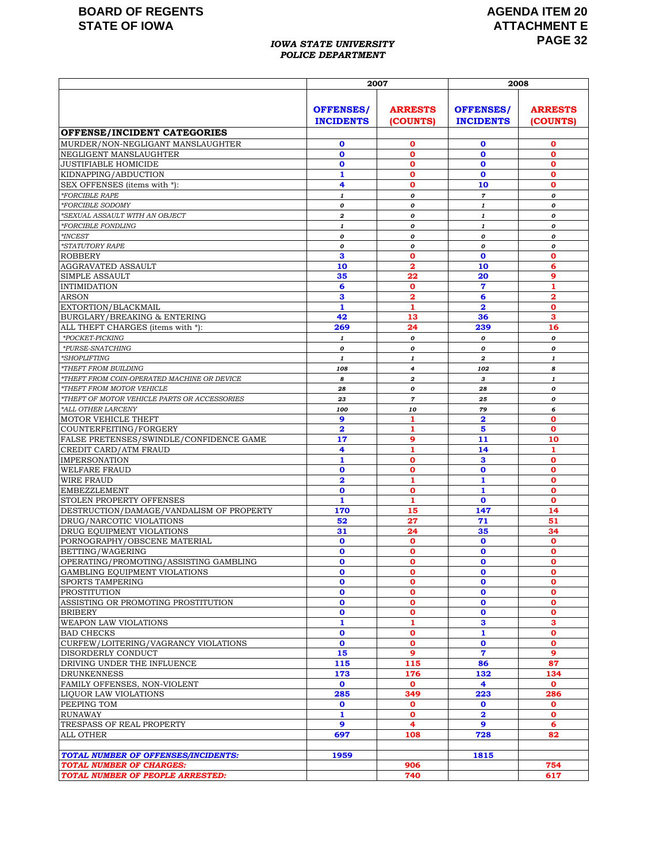#### *IOWA STATE UNIVERSITY POLICE DEPARTMENT*

### **AGENDA ITEM 20 ATTACHMENT E PAGE 32**

|                                                                   | 2007                                 |                                 | 2008                                 |                             |
|-------------------------------------------------------------------|--------------------------------------|---------------------------------|--------------------------------------|-----------------------------|
|                                                                   | <b>OFFENSES/</b><br><b>INCIDENTS</b> | <b>ARRESTS</b><br>(COUNTS)      | <b>OFFENSES/</b><br><b>INCIDENTS</b> | <b>ARRESTS</b><br>(COUNTS)  |
| OFFENSE/INCIDENT CATEGORIES                                       |                                      |                                 |                                      |                             |
| MURDER/NON-NEGLIGANT MANSLAUGHTER                                 | $\mathbf 0$                          | 0                               | $\mathbf 0$                          | 0                           |
| NEGLIGENT MANSLAUGHTER                                            | $\mathbf o$                          | $\mathbf 0$                     | $\mathbf 0$                          | $\mathbf 0$                 |
| <b>JUSTIFIABLE HOMICIDE</b>                                       | $\mathbf 0$                          | $\mathbf 0$                     | $\mathbf 0$                          | $\mathbf 0$                 |
| KIDNAPPING/ABDUCTION<br>SEX OFFENSES (items with *):              | 1<br>4                               | $\mathbf o$                     | $\mathbf{o}$<br>10                   | $\mathbf o$<br>$\mathbf{o}$ |
| *FORCIBLE RAPE                                                    | $\pmb{1}$                            | $\mathbf o$<br>$\boldsymbol{o}$ | $\overline{7}$                       | 0                           |
| *FORCIBLE SODOMY                                                  | 0                                    | 0                               | 1                                    | 0                           |
| *SEXUAL ASSAULT WITH AN OBJECT                                    | 2                                    | 0                               | $\mathbf{1}$                         | 0                           |
| *FORCIBLE FONDLING                                                | 1                                    | 0                               | 1                                    | 0                           |
| $^*$ INCEST                                                       | 0                                    | 0                               | 0                                    | 0                           |
| <i>*STATUTORY RAPE</i>                                            | 0                                    | $\boldsymbol{o}$                | 0                                    | 0                           |
| <b>ROBBERY</b>                                                    | 3                                    | $\mathbf 0$                     | $\mathbf 0$                          | $\mathbf o$                 |
| AGGRAVATED ASSAULT                                                | 10                                   | $\mathbf{2}$                    | 10                                   | 6                           |
| SIMPLE ASSAULT                                                    | 35                                   | 22                              | 20                                   | 9                           |
| <b>INTIMIDATION</b>                                               | 6                                    | $\mathbf o$                     | $\overline{7}$                       | $\mathbf{1}$                |
| ARSON<br>EXTORTION/BLACKMAIL                                      | 3<br>1                               | $\mathbf{2}$<br>1               | 6<br>$\overline{\mathbf{2}}$         | 2<br>$\mathbf o$            |
| BURGLARY/BREAKING & ENTERING                                      | 42                                   | 13                              | 36                                   | 3                           |
| ALL THEFT CHARGES (items with *):                                 | 269                                  | 24                              | 239                                  | 16                          |
| *POCKET-PICKING                                                   | 1                                    | 0                               | 0                                    | 0                           |
| *PURSE-SNATCHING                                                  | 0                                    | 0                               | 0                                    | 0                           |
| *SHOPLIFTING                                                      | $\mathbf{1}$                         | $\mathbf{1}$                    | $\boldsymbol{2}$                     | $\mathbf{1}$                |
| *THEFT FROM BUILDING                                              | 108                                  | $\overline{\mathbf{4}}$         | 102                                  | 8                           |
| *THEFT FROM COIN-OPERATED MACHINE OR DEVICE                       | 8                                    | $\boldsymbol{2}$                | 3                                    | $\mathbf{1}$                |
| *THEFT FROM MOTOR VEHICLE                                         | 28                                   | 0                               | 28                                   | 0                           |
| *THEFT OF MOTOR VEHICLE PARTS OR ACCESSORIES                      | 23                                   | $\overline{7}$                  | 25                                   | 0                           |
| *ALL OTHER LARCENY                                                | 100                                  | 10                              | 79                                   | 6                           |
| MOTOR VEHICLE THEFT                                               | 9                                    | 1                               | $\overline{\mathbf{2}}$              | $\mathbf 0$                 |
| COUNTERFEITING/FORGERY<br>FALSE PRETENSES/SWINDLE/CONFIDENCE GAME | $\overline{\mathbf{2}}$<br>17        | 1<br>9                          | 5<br>11                              | $\mathbf o$<br>10           |
| CREDIT CARD/ATM FRAUD                                             | 4                                    | $\mathbf{1}$                    | 14                                   | 1                           |
| <b>IMPERSONATION</b>                                              | 1                                    | $\mathbf{o}$                    | 3                                    | $\mathbf o$                 |
| <b>WELFARE FRAUD</b>                                              | $\mathbf o$                          | $\mathbf o$                     | $\mathbf 0$                          | $\mathbf o$                 |
| <b>WIRE FRAUD</b>                                                 | $\overline{\mathbf{2}}$              | 1                               | 1                                    | $\mathbf 0$                 |
| <b>EMBEZZLEMENT</b>                                               | $\mathbf 0$                          | $\mathbf{o}$                    | $\mathbf{1}$                         | $\mathbf o$                 |
| STOLEN PROPERTY OFFENSES                                          | $\mathbf{1}$                         | 1                               | $\mathbf 0$                          | $\mathbf 0$                 |
| DESTRUCTION/DAMAGE/VANDALISM OF PROPERTY                          | 170                                  | 15                              | 147                                  | 14                          |
| DRUG/NARCOTIC VIOLATIONS                                          | 52                                   | 27                              | 71                                   | 51                          |
| DRUG EQUIPMENT VIOLATIONS                                         | 31                                   | 24                              | 35                                   | 34                          |
| PORNOGRAPHY/OBSCENE MATERIAL<br>BETTING/WAGERING                  | $\mathbf 0$<br>$\mathbf o$           | $\mathbf o$<br>$\mathbf 0$      | $\mathbf 0$                          | $\mathbf{o}$<br>$\mathbf o$ |
| OPERATING/PROMOTING/ASSISTING GAMBLING                            | O                                    | $\mathbf o$                     | 0<br>$\mathbf 0$                     | $\mathbf 0$                 |
| GAMBLING EQUIPMENT VIOLATIONS                                     | $\mathbf 0$                          | $\mathbf 0$                     | $\mathbf 0$                          | $\mathbf 0$                 |
| <b>SPORTS TAMPERING</b>                                           | $\mathbf o$                          | $\mathbf{o}$                    | $\mathbf 0$                          | $\mathbf{o}$                |
| <b>PROSTITUTION</b>                                               | $\mathbf 0$                          | 0                               | $\mathbf 0$                          | 0                           |
| ASSISTING OR PROMOTING PROSTITUTION                               | $\mathbf{o}$                         | $\mathbf o$                     | $\mathbf 0$                          | $\mathbf{o}$                |
| <b>BRIBERY</b>                                                    | $\mathbf 0$                          | $\mathbf 0$                     | O                                    | $\mathbf 0$                 |
| <b>WEAPON LAW VIOLATIONS</b>                                      | $\mathbf{1}$                         | $\mathbf{1}$                    | 3                                    | 3                           |
| <b>BAD CHECKS</b>                                                 | $\mathbf{o}$                         | $\mathbf{o}$                    | 1                                    | $\mathbf{o}$                |
| CURFEW/LOITERING/VAGRANCY VIOLATIONS                              | $\mathbf 0$                          | $\mathbf o$                     | $\mathbf 0$                          | $\mathbf o$                 |
| DISORDERLY CONDUCT                                                | 15                                   | 9                               | $\overline{\mathbf{7}}$              | 9                           |
| DRIVING UNDER THE INFLUENCE                                       | 115                                  | 115                             | 86                                   | 87                          |
| <b>DRUNKENNESS</b><br>FAMILY OFFENSES, NON-VIOLENT                | 173<br>$\mathbf{o}$                  | 176<br>$\mathbf 0$              | 132<br>4                             | 134<br>$\mathbf 0$          |
| LIOUOR LAW VIOLATIONS                                             | 285                                  | 349                             | 223                                  | 286                         |
| PEEPING TOM                                                       | $\mathbf 0$                          | $\mathbf 0$                     | $\mathbf 0$                          | $\mathbf 0$                 |
| <b>RUNAWAY</b>                                                    | 1                                    | $\mathbf{o}$                    | 2                                    | $\mathbf{o}$                |
| TRESPASS OF REAL PROPERTY                                         | 9                                    | 4                               | 9                                    | 6                           |
| <b>ALL OTHER</b>                                                  | 697                                  | 108                             | 728                                  | 82                          |
|                                                                   |                                      |                                 |                                      |                             |
| TOTAL NUMBER OF OFFENSES/INCIDENTS:                               | 1959                                 |                                 | 1815                                 |                             |
| <b>TOTAL NUMBER OF CHARGES:</b>                                   |                                      | 906                             |                                      | 754                         |
| TOTAL NUMBER OF PEOPLE ARRESTED:                                  |                                      | 740                             |                                      | 617                         |